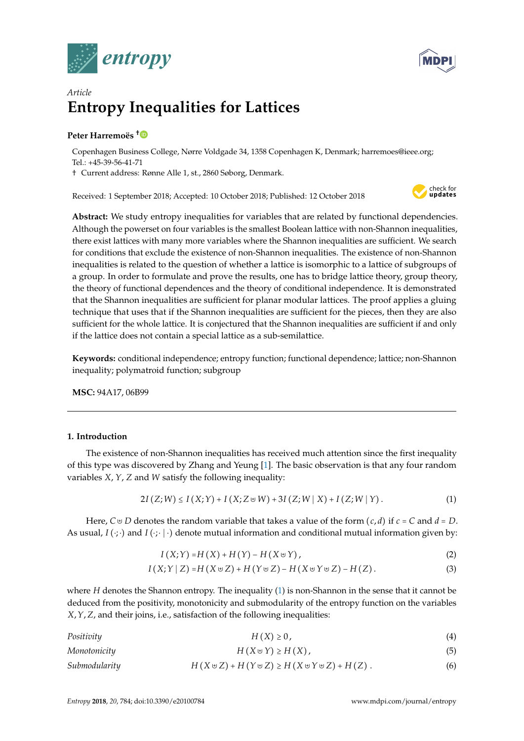



# *Article* **Entropy Inequalities for Lattices**

# **Peter Harremoës [†](https://orcid.org/0000-0002-0441-6690)**

Copenhagen Business College, Nørre Voldgade 34, 1358 Copenhagen K, Denmark; harremoes@ieee.org; Tel.: +45-39-56-41-71

† Current address: Rønne Alle 1, st., 2860 Søborg, Denmark.

Received: 1 September 2018; Accepted: 10 October 2018; Published: 12 October 2018



**Abstract:** We study entropy inequalities for variables that are related by functional dependencies. Although the powerset on four variables is the smallest Boolean lattice with non-Shannon inequalities, there exist lattices with many more variables where the Shannon inequalities are sufficient. We search for conditions that exclude the existence of non-Shannon inequalities. The existence of non-Shannon inequalities is related to the question of whether a lattice is isomorphic to a lattice of subgroups of a group. In order to formulate and prove the results, one has to bridge lattice theory, group theory, the theory of functional dependences and the theory of conditional independence. It is demonstrated that the Shannon inequalities are sufficient for planar modular lattices. The proof applies a gluing technique that uses that if the Shannon inequalities are sufficient for the pieces, then they are also sufficient for the whole lattice. It is conjectured that the Shannon inequalities are sufficient if and only if the lattice does not contain a special lattice as a sub-semilattice.

**Keywords:** conditional independence; entropy function; functional dependence; lattice; non-Shannon inequality; polymatroid function; subgroup

**MSC:** 94A17, 06B99

# **1. Introduction**

The existence of non-Shannon inequalities has received much attention since the first inequality of this type was discovered by Zhang and Yeung [\[1\]](#page-25-0). The basic observation is that any four random variables *X*, *Y*, *Z* and *W* satisfy the following inequality:

<span id="page-0-0"></span>
$$
2I(Z;W) \leq I(X;Y) + I(X;Z \cup W) + 3I(Z;W | X) + I(Z;W | Y).
$$
 (1)

Here,  $C \cup D$  denotes the random variable that takes a value of the form  $(c, d)$  if  $c = C$  and  $d = D$ . As usual, *I* (⋅;⋅) and *I* (⋅;⋅|⋅) denote mutual information and conditional mutual information given by:

$$
I(X;Y) = H(X) + H(Y) - H(X \cup Y),
$$
\n<sup>(2)</sup>

$$
I(X;Y|Z) = H(X \cup Z) + H(Y \cup Z) - H(X \cup Y \cup Z) - H(Z).
$$
 (3)

where *H* denotes the Shannon entropy. The inequality [\(1\)](#page-0-0) is non-Shannon in the sense that it cannot be deduced from the positivity, monotonicity and submodularity of the entropy function on the variables *X*,*Y*, *Z*, and their joins, i.e., satisfaction of the following inequalities:

| Positivity    | $H(X) \geq 0$ ,                                             | (4) |
|---------------|-------------------------------------------------------------|-----|
| Monotonicity  | $H(X \cup Y) \geq H(X)$ ,                                   | (5) |
| Submodularity | $H(X \cup Z) + H(Y \cup Z) \ge H(X \cup Y \cup Z) + H(Z)$ . | (6) |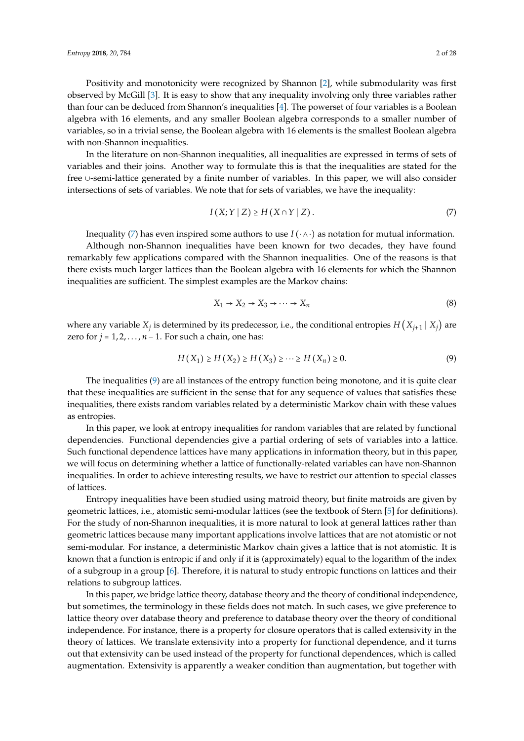Positivity and monotonicity were recognized by Shannon [\[2\]](#page-25-1), while submodularity was first observed by McGill [\[3\]](#page-25-2). It is easy to show that any inequality involving only three variables rather than four can be deduced from Shannon's inequalities [\[4\]](#page-25-3). The powerset of four variables is a Boolean algebra with 16 elements, and any smaller Boolean algebra corresponds to a smaller number of variables, so in a trivial sense, the Boolean algebra with 16 elements is the smallest Boolean algebra with non-Shannon inequalities.

In the literature on non-Shannon inequalities, all inequalities are expressed in terms of sets of variables and their joins. Another way to formulate this is that the inequalities are stated for the free ∪-semi-lattice generated by a finite number of variables. In this paper, we will also consider intersections of sets of variables. We note that for sets of variables, we have the inequality:

<span id="page-1-0"></span>
$$
I(X;Y|Z) \ge H(X \cap Y|Z). \tag{7}
$$

Inequality [\(7\)](#page-1-0) has even inspired some authors to use  $I(\cdot \wedge \cdot)$  as notation for mutual information.

Although non-Shannon inequalities have been known for two decades, they have found remarkably few applications compared with the Shannon inequalities. One of the reasons is that there exists much larger lattices than the Boolean algebra with 16 elements for which the Shannon inequalities are sufficient. The simplest examples are the Markov chains:

$$
X_1 \to X_2 \to X_3 \to \cdots \to X_n \tag{8}
$$

where any variable  $X_j$  is determined by its predecessor, i.e., the conditional entropies  $H(X_{j+1} | X_j)$  are zero for *j* = 1, 2, . . . , *n* − 1. For such a chain, one has:

<span id="page-1-1"></span>
$$
H(X_1) \ge H(X_2) \ge H(X_3) \ge \dots \ge H(X_n) \ge 0. \tag{9}
$$

The inequalities [\(9\)](#page-1-1) are all instances of the entropy function being monotone, and it is quite clear that these inequalities are sufficient in the sense that for any sequence of values that satisfies these inequalities, there exists random variables related by a deterministic Markov chain with these values as entropies.

In this paper, we look at entropy inequalities for random variables that are related by functional dependencies. Functional dependencies give a partial ordering of sets of variables into a lattice. Such functional dependence lattices have many applications in information theory, but in this paper, we will focus on determining whether a lattice of functionally-related variables can have non-Shannon inequalities. In order to achieve interesting results, we have to restrict our attention to special classes of lattices.

Entropy inequalities have been studied using matroid theory, but finite matroids are given by geometric lattices, i.e., atomistic semi-modular lattices (see the textbook of Stern [\[5\]](#page-25-4) for definitions). For the study of non-Shannon inequalities, it is more natural to look at general lattices rather than geometric lattices because many important applications involve lattices that are not atomistic or not semi-modular. For instance, a deterministic Markov chain gives a lattice that is not atomistic. It is known that a function is entropic if and only if it is (approximately) equal to the logarithm of the index of a subgroup in a group [\[6\]](#page-26-0). Therefore, it is natural to study entropic functions on lattices and their relations to subgroup lattices.

In this paper, we bridge lattice theory, database theory and the theory of conditional independence, but sometimes, the terminology in these fields does not match. In such cases, we give preference to lattice theory over database theory and preference to database theory over the theory of conditional independence. For instance, there is a property for closure operators that is called extensivity in the theory of lattices. We translate extensivity into a property for functional dependence, and it turns out that extensivity can be used instead of the property for functional dependences, which is called augmentation. Extensivity is apparently a weaker condition than augmentation, but together with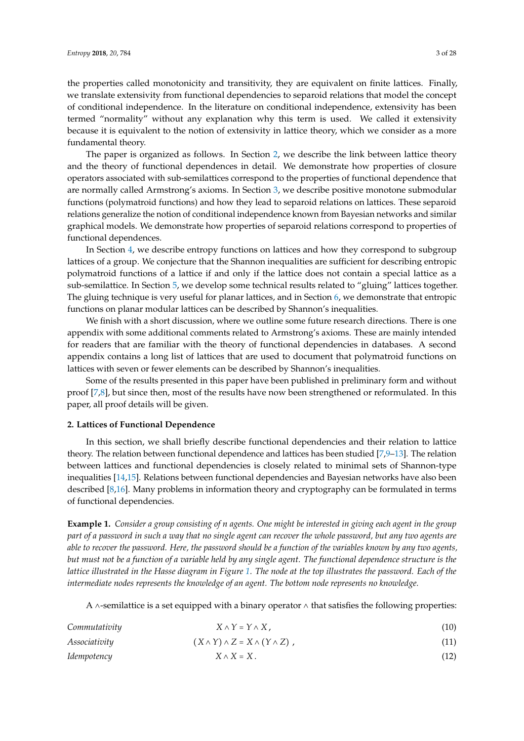the properties called monotonicity and transitivity, they are equivalent on finite lattices. Finally, we translate extensivity from functional dependencies to separoid relations that model the concept of conditional independence. In the literature on conditional independence, extensivity has been termed "normality" without any explanation why this term is used. We called it extensivity because it is equivalent to the notion of extensivity in lattice theory, which we consider as a more fundamental theory.

The paper is organized as follows. In Section [2,](#page-2-0) we describe the link between lattice theory and the theory of functional dependences in detail. We demonstrate how properties of closure operators associated with sub-semilattices correspond to the properties of functional dependence that are normally called Armstrong's axioms. In Section [3,](#page-5-0) we describe positive monotone submodular functions (polymatroid functions) and how they lead to separoid relations on lattices. These separoid relations generalize the notion of conditional independence known from Bayesian networks and similar graphical models. We demonstrate how properties of separoid relations correspond to properties of functional dependences.

In Section [4,](#page-9-0) we describe entropy functions on lattices and how they correspond to subgroup lattices of a group. We conjecture that the Shannon inequalities are sufficient for describing entropic polymatroid functions of a lattice if and only if the lattice does not contain a special lattice as a sub-semilattice. In Section [5,](#page-12-0) we develop some technical results related to "gluing" lattices together. The gluing technique is very useful for planar lattices, and in Section [6,](#page-14-0) we demonstrate that entropic functions on planar modular lattices can be described by Shannon's inequalities.

We finish with a short discussion, where we outline some future research directions. There is one appendix with some additional comments related to Armstrong's axioms. These are mainly intended for readers that are familiar with the theory of functional dependencies in databases. A second appendix contains a long list of lattices that are used to document that polymatroid functions on lattices with seven or fewer elements can be described by Shannon's inequalities.

Some of the results presented in this paper have been published in preliminary form and without proof [\[7,](#page-26-1)[8\]](#page-26-2), but since then, most of the results have now been strengthened or reformulated. In this paper, all proof details will be given.

#### <span id="page-2-0"></span>**2. Lattices of Functional Dependence**

In this section, we shall briefly describe functional dependencies and their relation to lattice theory. The relation between functional dependence and lattices has been studied [\[7,](#page-26-1)[9](#page-26-3)[–13\]](#page-26-4). The relation between lattices and functional dependencies is closely related to minimal sets of Shannon-type inequalities [\[14,](#page-26-5)[15\]](#page-26-6). Relations between functional dependencies and Bayesian networks have also been described [\[8,](#page-26-2)[16\]](#page-26-7). Many problems in information theory and cryptography can be formulated in terms of functional dependencies.

**Example 1.** *Consider a group consisting of n agents. One might be interested in giving each agent in the group part of a password in such a way that no single agent can recover the whole password, but any two agents are able to recover the password. Here, the password should be a function of the variables known by any two agents, but must not be a function of a variable held by any single agent. The functional dependence structure is the lattice illustrated in the Hasse diagram in Figure [1.](#page-3-0) The node at the top illustrates the password. Each of the intermediate nodes represents the knowledge of an agent. The bottom node represents no knowledge.*

A ∧-semilattice is a set equipped with a binary operator ∧ that satisfies the following properties:

| Commutativity | $X \wedge Y = Y \wedge X$ .                       | (10) |
|---------------|---------------------------------------------------|------|
| Associativity | $(X \wedge Y) \wedge Z = X \wedge (Y \wedge Z)$ , | (11) |
| Idempotency   | $X \wedge X = X$ .                                | (12) |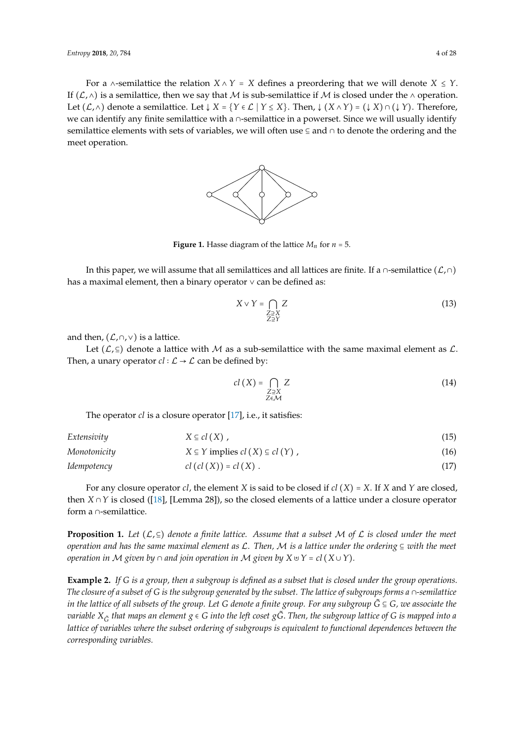<span id="page-3-0"></span>For a ∧-semilattice the relation  $X \wedge Y = X$  defines a preordering that we will denote  $X \leq Y$ . If  $(L,\wedge)$  is a semilattice, then we say that M is sub-semilattice if M is closed under the  $\wedge$  operation. Let  $(\mathcal{L}, \land)$  denote a semilattice. Let  $\downarrow$  *X* = {*Y* ∈  $\mathcal{L}$  | *Y* ≤ *X*}. Then,  $\downarrow$  (*X* ∧ *Y*) = ( $\downarrow$  *X*) ∩ ( $\downarrow$  *Y*). Therefore, we can identify any finite semilattice with a ∩-semilattice in a powerset. Since we will usually identify semilattice elements with sets of variables, we will often use ⊆ and ∩ to denote the ordering and the meet operation.



**Figure 1.** Hasse diagram of the lattice  $M_n$  for  $n = 5$ .

In this paper, we will assume that all semilattices and all lattices are finite. If a ∩-semilattice ( $\mathcal{L}, \cap$ ) has a maximal element, then a binary operator  $\vee$  can be defined as:

$$
X \vee Y = \bigcap_{\substack{Z \supseteq X \\ Z \supseteq Y}} Z \tag{13}
$$

and then,  $(\mathcal{L}, \cap, \vee)$  is a lattice.

Let  $(\mathcal{L}, \subseteq)$  denote a lattice with M as a sub-semilattice with the same maximal element as  $\mathcal{L}$ . Then, a unary operator  $cl: \mathcal{L} \rightarrow \mathcal{L}$  can be defined by:

<span id="page-3-2"></span><span id="page-3-1"></span>
$$
cl(X) = \bigcap_{\substack{Z \supseteq X \\ Z \in \mathcal{M}}} Z
$$
 (14)

The operator *cl* is a closure operator [\[17\]](#page-26-8), i.e., it satisfies:

| Extensivity | $X \subseteq cl(X)$ , | (15) |
|-------------|-----------------------|------|
|             |                       |      |

*Monotonicity*  $X \subseteq Y$  implies  $cl(X) \subseteq cl(Y)$ , (16)

$$
Idempotency \qquad cl\left(cl(X)\right) = cl\left(X\right). \tag{17}
$$

For any closure operator *cl*, the element *X* is said to be closed if *cl* (*X*) = *X*. If *X* and *Y* are closed, then *X* ∩ *Y* is closed ([\[18\]](#page-26-9), [Lemma 28]), so the closed elements of a lattice under a closure operator form a ∩-semilattice.

**Proposition 1.** *Let*  $(L, \subseteq)$  *denote a finite lattice. Assume that a subset* M *of* L *is closed under the meet operation and has the same maximal element as* L*. Then,* M *is a lattice under the ordering* ⊆ *with the meet operation in M given by*  $\cap$  *and join operation in M given by*  $X \cup Y = cl(X \cup Y)$ *.* 

**Example 2.** *If G is a group, then a subgroup is defined as a subset that is closed under the group operations. The closure of a subset of G is the subgroup generated by the subset. The lattice of subgroups forms a* ∩*-semilattice in the lattice of all subsets of the group. Let G denote a finite group. For any subgroup*  $\tilde{G} \subseteq G$ *, we associate the variable*  $X_{\tilde{G}}$  *that maps an element*  $g \in G$  *into the left coset*  $g\tilde{G}$ *. Then, the subgroup lattice of* G *is mapped into a lattice of variables where the subset ordering of subgroups is equivalent to functional dependences between the corresponding variables.*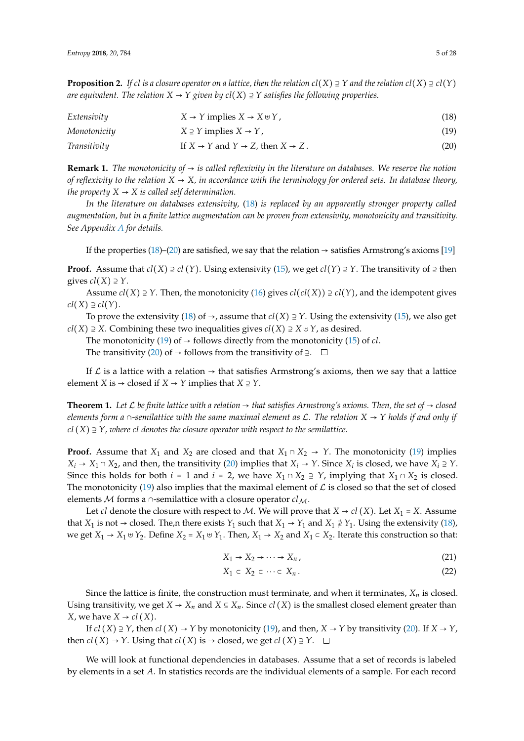**Proposition 2.** *If cl is a closure operator on a lattice, then the relation*  $cl(X) \supseteq Y$  *and the relation*  $cl(X) \supseteq cl(Y)$ *are equivalent. The relation*  $X \to Y$  *given by cl*( $X$ )  $\supseteq Y$  *satisfies the following properties.* 

<span id="page-4-2"></span><span id="page-4-0"></span>

| Extensivity  | $X \rightarrow Y$ implies $X \rightarrow X \uplus Y$ ,                | (18) |
|--------------|-----------------------------------------------------------------------|------|
| Monotonicity | $X \supseteq Y$ implies $X \rightarrow Y$ ,                           | (19) |
| Transitivity | If $X \rightarrow Y$ and $Y \rightarrow Z$ , then $X \rightarrow Z$ . | (20) |

**Remark 1.** *The monotonicity of* → *is called reflexivity in the literature on databases. We reserve the notion of reflexivity to the relation*  $X \to X$ *, in accordance with the terminology for ordered sets. In database theory, the property*  $X \rightarrow X$  *is called self determination.* 

*In the literature on databases extensivity,* [\(18\)](#page-4-0) *is replaced by an apparently stronger property called augmentation, but in a finite lattice augmentation can be proven from extensivity, monotonicity and transitivity. See Appendix [A](#page-18-0) for details.*

<span id="page-4-1"></span>If the properties [\(18\)](#page-4-0)–[\(20\)](#page-4-1) are satisfied, we say that the relation  $\rightarrow$  satisfies Armstrong's axioms [\[19\]](#page-26-10)

**Proof.** Assume that  $cl(X) ≥ cl(Y)$ . Using extensivity [\(15\)](#page-3-1), we get  $cl(Y) ≥ Y$ . The transitivity of  $≥$  then gives  $cl(X)$  ⊇  $Y$ .

Assume *cl*(*X*) ⊇ *Y*. Then, the monotonicity [\(16\)](#page-3-2) gives *cl*(*cl*(*X*)) ⊇ *cl*(*Y*), and the idempotent gives  $cl(X)$  ⊇  $cl(Y)$ .

To prove the extensivity [\(18\)](#page-4-0) of  $\rightarrow$ , assume that *cl*(*X*)  $\supseteq$ *Y*. Using the extensivity [\(15\)](#page-3-1), we also get *cl*(*X*) ⊇ *X*. Combining these two inequalities gives  $cl(X)$  ⊇  $X \oplus Y$ , as desired.

The monotonicity [\(19\)](#page-4-2) of  $\rightarrow$  follows directly from the monotonicity [\(15\)](#page-3-1) of *cl*.

The transitivity [\(20\)](#page-4-1) of  $\rightarrow$  follows from the transitivity of  $\supseteq$ .  $\square$ 

If  $\mathcal L$  is a lattice with a relation  $\rightarrow$  that satisfies Armstrong's axioms, then we say that a lattice element *X* is  $\rightarrow$  closed if *X*  $\rightarrow$  *Y* implies that *X*  $\supseteq$  *Y*.

<span id="page-4-3"></span>**Theorem 1.** Let  $\mathcal L$  be finite lattice with a relation  $\to$  that satisfies Armstrong's axioms. Then, the set of  $\to$  closed *elements form a*  $\cap$ *-semilattice with the same maximal element as*  $\mathcal{L}$ *. The relation*  $X \rightarrow Y$  *holds if and only if cl* (*X*) ⊇ *Y, where cl denotes the closure operator with respect to the semilattice.*

**Proof.** Assume that  $X_1$  and  $X_2$  are closed and that  $X_1 \cap X_2 \to Y$ . The monotonicity [\(19\)](#page-4-2) implies  $X_i \rightarrow X_1 \cap X_2$ , and then, the transitivity [\(20\)](#page-4-1) implies that  $X_i \rightarrow Y$ . Since  $X_i$  is closed, we have  $X_i \supseteq Y$ . Since this holds for both  $i = 1$  and  $i = 2$ , we have  $X_1 \cap X_2 \supseteq Y$ , implying that  $X_1 \cap X_2$  is closed. The monotonicity [\(19\)](#page-4-2) also implies that the maximal element of  $\mathcal L$  is closed so that the set of closed elements *M* forms a ∩-semilattice with a closure operator  $cl_{\mathcal{M}}$ .

Let *cl* denote the closure with respect to *M*. We will prove that  $X \rightarrow cl(X)$ . Let  $X_1 = X$ . Assume that *X*<sub>1</sub> is not → closed. The,n there exists *Y*<sub>1</sub> such that *X*<sub>1</sub> → *Y*<sub>1</sub> and *X*<sub>1</sub> ⊉ *Y*<sub>1</sub>. Using the extensivity [\(18\)](#page-4-0), we get *X*<sub>1</sub> → *X*<sub>1</sub> ⊎ *Y*<sub>2</sub>. Define *X*<sub>2</sub> = *X*<sub>1</sub> ⊎ *Y*<sub>1</sub>. Then, *X*<sub>1</sub> → *X*<sub>2</sub> and *X*<sub>1</sub> ⊂ *X*<sub>2</sub>. Iterate this construction so that:

<span id="page-4-4"></span>
$$
X_1 \to X_2 \to \cdots \to X_n \,,\tag{21}
$$

$$
X_1 \subset X_2 \subset \cdots \subset X_n \,. \tag{22}
$$

Since the lattice is finite, the construction must terminate, and when it terminates,  $X_n$  is closed. Using transitivity, we get  $X \to X_n$  and  $X \subseteq X_n$ . Since *cl* (*X*) is the smallest closed element greater than *X*, we have  $X \rightarrow cl(X)$ .

If  $cl(X) \supseteq Y$ , then  $cl(X) \rightarrow Y$  by monotonicity [\(19\)](#page-4-2), and then,  $X \rightarrow Y$  by transitivity [\(20\)](#page-4-1). If  $X \rightarrow Y$ , then  $cl(X) \rightarrow Y$ . Using that  $cl(X)$  is  $\rightarrow$  closed, we get  $cl(X) \supseteq Y$ .  $\Box$ 

We will look at functional dependencies in databases. Assume that a set of records is labeled by elements in a set *A*. In statistics records are the individual elements of a sample. For each record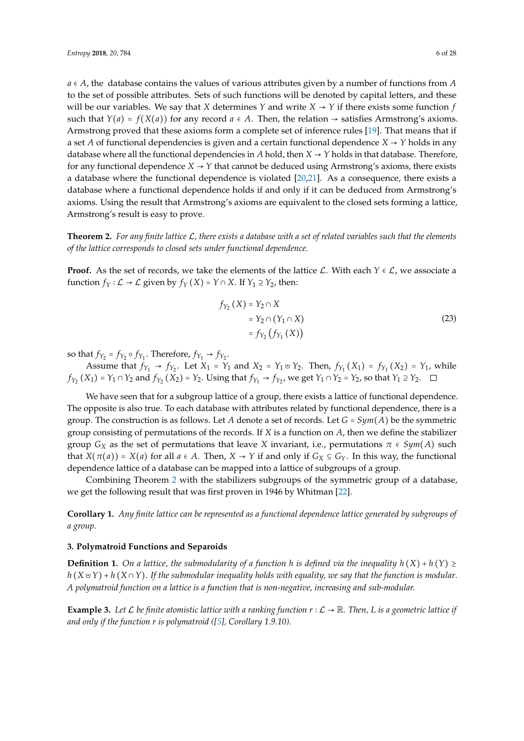*a* ∈ *A*, the database contains the values of various attributes given by a number of functions from *A* to the set of possible attributes. Sets of such functions will be denoted by capital letters, and these will be our variables. We say that *X* determines *Y* and write  $X \rightarrow Y$  if there exists some function *f* such that  $Y(a) = f(X(a))$  for any record  $a \in A$ . Then, the relation  $\rightarrow$  satisfies Armstrong's axioms. Armstrong proved that these axioms form a complete set of inference rules [\[19\]](#page-26-10). That means that if a set *A* of functional dependencies is given and a certain functional dependence  $X \rightarrow Y$  holds in any database where all the functional dependencies in *A* hold, then  $X \rightarrow Y$  holds in that database. Therefore, for any functional dependence  $X \rightarrow Y$  that cannot be deduced using Armstrong's axioms, there exists a database where the functional dependence is violated [\[20,](#page-26-11)[21\]](#page-26-12). As a consequence, there exists a database where a functional dependence holds if and only if it can be deduced from Armstrong's axioms. Using the result that Armstrong's axioms are equivalent to the closed sets forming a lattice, Armstrong's result is easy to prove.

<span id="page-5-1"></span>**Theorem 2.** *For any finite lattice* L*, there exists a database with a set of related variables such that the elements of the lattice corresponds to closed sets under functional dependence.*

**Proof.** As the set of records, we take the elements of the lattice L. With each  $Y \in \mathcal{L}$ , we associate a function *f*<sup>*Y*</sup> ∶  $\mathcal{L} \rightarrow \mathcal{L}$  given by *f*<sup>*Y*</sup> (*X*) = *Y* ∩ *X*. If *Y*<sub>1</sub> ⊇ *Y*<sub>2</sub>, then:

$$
f_{Y_2}(X) = Y_2 \cap X = Y_2 \cap (Y_1 \cap X) = f_{Y_2}(f_{Y_1}(X))
$$
 (23)

so that  $f_{Y_2} = f_{Y_2} \circ f_{Y_1}$ . Therefore,  $f_{Y_1} \rightarrow f_{Y_2}$ .

Assume that  $f_{Y_1} \to f_{Y_2}$ . Let  $X_1 = Y_1$  and  $X_2 = Y_1 \uplus Y_2$ . Then,  $f_{Y_1}(X_1) = f_{Y_1}(X_2) = Y_1$ , while *f*<sub>*Y*2</sub> (*X*<sub>1</sub>) = *Y*<sub>1</sub> ∩ *Y*<sub>2</sub> and *f*<sub>*Y*<sub>2</sub></sub> (*X*<sub>2</sub>) = *Y*<sub>2</sub>. Using that *f*<sub>*Y*<sub>1</sub></sub> → *f*<sub>*Y*<sub>2</sub></sub>, we get *Y*<sub>1</sub> ∩ *Y*<sub>2</sub> = *Y*<sub>2</sub>, so that *Y*<sub>1</sub> ⊇ *Y*<sub>2</sub>.

We have seen that for a subgroup lattice of a group, there exists a lattice of functional dependence. The opposite is also true. To each database with attributes related by functional dependence, there is a group. The construction is as follows. Let *A* denote a set of records. Let *G* = *Sym*(*A*) be the symmetric group consisting of permutations of the records. If *X* is a function on *A*, then we define the stabilizer group  $G_X$  as the set of permutations that leave *X* invariant, i.e., permutations  $\pi \in Sym(A)$  such that  $X(\pi(a)) = X(a)$  for all  $a \in A$ . Then,  $X \to Y$  if and only if  $G_X \subseteq G_Y$ . In this way, the functional dependence lattice of a database can be mapped into a lattice of subgroups of a group.

Combining Theorem [2](#page-5-1) with the stabilizers subgroups of the symmetric group of a database, we get the following result that was first proven in 1946 by Whitman [\[22\]](#page-26-13).

**Corollary 1.** *Any finite lattice can be represented as a functional dependence lattice generated by subgroups of a group.*

#### <span id="page-5-0"></span>**3. Polymatroid Functions and Separoids**

**Definition 1.** On a lattice, the submodularity of a function h is defined via the inequality  $h(X) + h(Y) \ge$ *h* (*X* ⊎*Y*) + *h* (*X* ∩*Y*)*. If the submodular inequality holds with equality, we say that the function is modular. A polymatroid function on a lattice is a function that is non-negative, increasing and sub-modular.*

**Example 3.** Let  $\mathcal L$  be finite atomistic lattice with a ranking function  $r : \mathcal L \to \mathbb R$ . Then, L is a geometric lattice if *and only if the function r is polymatroid ([\[5\]](#page-25-4), Corollary 1.9.10).*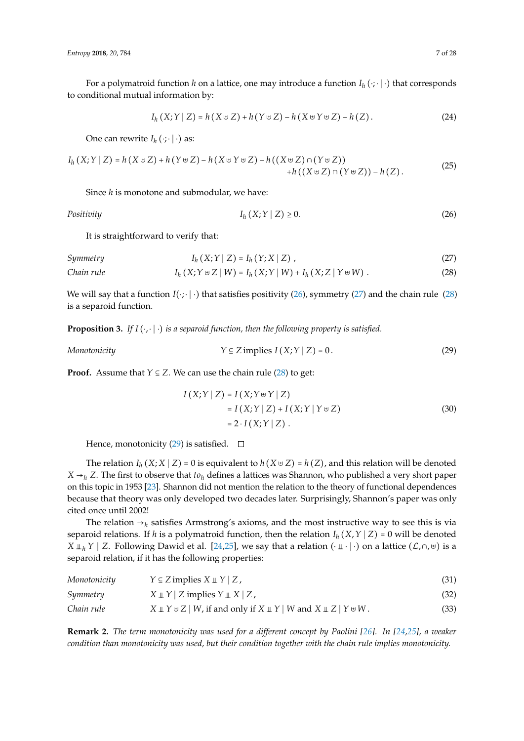For a polymatroid function *h* on a lattice, one may introduce a function *I<sup>h</sup>* (⋅; ⋅ ∣ ⋅) that corresponds to conditional mutual information by:

<span id="page-6-0"></span>
$$
I_h(X;Y|Z) = h(X \cup Z) + h(Y \cup Z) - h(X \cup Y \cup Z) - h(Z).
$$
 (24)

One can rewrite  $I_h(\cdot; \cdot | \cdot)$  as:

$$
I_h(X;Y|Z) = h(X \cup Z) + h(Y \cup Z) - h(X \cup Y \cup Z) - h((X \cup Z) \cap (Y \cup Z)) + h((X \cup Z) \cap (Y \cup Z)) - h(Z).
$$
\n
$$
(25)
$$

Since *h* is monotone and submodular, we have:

$$
I_h(X;Y|Z) \ge 0. \tag{26}
$$

It is straightforward to verify that:

$$
Symmetry \qquad I_h(X;Y|Z) = I_h(Y;X|Z) , \qquad (27)
$$

Chain rule 
$$
I_h(X; Y \cup Z | W) = I_h(X; Y | W) + I_h(X; Z | Y \cup W)
$$
. (28)

We will say that a function  $I(\cdot; \cdot | \cdot)$  that satisfies positivity [\(26\)](#page-6-0), symmetry [\(27\)](#page-6-1) and the chain rule [\(28\)](#page-6-2) is a separoid function.

**Proposition 3.** *If I* (⋅, ⋅ ∣ ⋅) *is a separoid function, then the following property is satisfied.*

*Monotonicity* 
$$
Y \subseteq Z
$$
 implies  $I(X;Y | Z) = 0$ . (29)

**Proof.** Assume that  $Y \subseteq Z$ . We can use the chain rule [\(28\)](#page-6-2) to get:

<span id="page-6-6"></span><span id="page-6-5"></span><span id="page-6-4"></span><span id="page-6-3"></span><span id="page-6-2"></span><span id="page-6-1"></span>
$$
I(X;Y|Z) = I(X;Y \cup Y|Z)
$$
  
= 
$$
I(X;Y|Z) + I(X;Y|Y \cup Z)
$$
  
= 
$$
2 \cdot I(X;Y|Z).
$$
 (30)

Hence, monotonicity [\(29\)](#page-6-3) is satisfied.  $\square$ 

The relation *I*<sub>*h*</sub> (*X*; *X* | *Z*) = 0 is equivalent to *h* (*X* ⊎ *Z*) = *h* (*Z*), and this relation will be denoted *X*  $\rightarrow$ <sub>*h*</sub> *Z*. The first to observe that *to*<sub>*h*</sub> defines a lattices was Shannon, who published a very short paper on this topic in 1953 [\[23\]](#page-26-14). Shannon did not mention the relation to the theory of functional dependences because that theory was only developed two decades later. Surprisingly, Shannon's paper was only cited once until 2002!

The relation  $\rightarrow$ <sub>h</sub> satisfies Armstrong's axioms, and the most instructive way to see this is via separoid relations. If *h* is a polymatroid function, then the relation  $I_h(X, Y | Z) = 0$  will be denoted *X*  $\mu$ <sub>*h</sub> Y* | *Z*. Following Dawid et al. [\[24](#page-26-15)[,25\]](#page-26-16), we say that a relation (⋅  $\mu$ ⋅ |⋅) on a lattice ( $\mathcal{L}$ ,  $\cap$ ,  $\uplus$ ) is a</sub> separoid relation, if it has the following properties:

| Monotonicitu<br>$Y \subseteq Z$ implies $X \perp Y \mid Z$ , | (31) |  |
|--------------------------------------------------------------|------|--|
|--------------------------------------------------------------|------|--|

| Symmetry   | $X \perp Y$   Z implies $Y \perp X$   Z,                                              | (32) |
|------------|---------------------------------------------------------------------------------------|------|
| Chain rule | $X \perp Y \cup Z$   W, if and only if $X \perp Y$   W and $X \perp Z$   $Y \cup W$ . | (33) |

**Remark 2.** *The term monotonicity was used for a different concept by Paolini [\[26\]](#page-26-17). In [\[24](#page-26-15)[,25\]](#page-26-16), a weaker condition than monotonicity was used, but their condition together with the chain rule implies monotonicity.*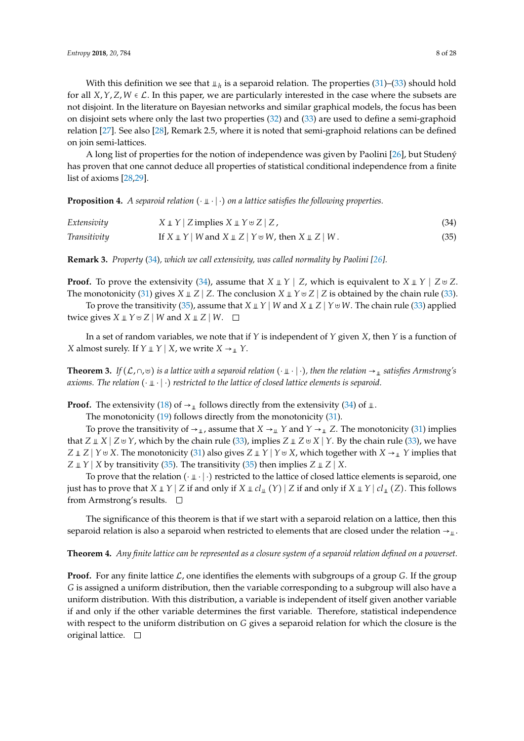With this definition we see that  $\mathbb{I}_h$  is a separoid relation. The properties [\(31\)](#page-6-4)–[\(33\)](#page-6-5) should hold for all  $X, Y, Z, W \in \mathcal{L}$ . In this paper, we are particularly interested in the case where the subsets are not disjoint. In the literature on Bayesian networks and similar graphical models, the focus has been on disjoint sets where only the last two properties [\(32\)](#page-6-6) and [\(33\)](#page-6-5) are used to define a semi-graphoid relation [\[27\]](#page-26-18). See also [\[28\]](#page-26-19), Remark 2.5, where it is noted that semi-graphoid relations can be defined on join semi-lattices.

A long list of properties for the notion of independence was given by Paolini [\[26\]](#page-26-17), but Studený has proven that one cannot deduce all properties of statistical conditional independence from a finite list of axioms [\[28](#page-26-19)[,29\]](#page-26-20).

**Proposition 4.** *A separoid relation* (⋅ ⋅ ∣ ⋅) *on a lattice satisfies the following properties.*

<span id="page-7-1"></span><span id="page-7-0"></span>

| Extensivity  | $X \perp Y$   Z implies $X \perp Y \cup Z$   Z,                         | (34) |
|--------------|-------------------------------------------------------------------------|------|
| Transitivity | If $X \perp Y$   W and $X \perp Z$   $Y \cup W$ , then $X \perp Z$   W. | (35) |

**Remark 3.** *Property* [\(34\)](#page-7-0)*, which we call extensivity, was called normality by Paolini [\[26\]](#page-26-17).*

**Proof.** To prove the extensivity [\(34\)](#page-7-0), assume that  $X \perp Y \mid Z$ , which is equivalent to  $X \perp Y \mid Z \cup Z$ . The monotonicity [\(31\)](#page-6-4) gives  $X \perp Z \mid Z$ . The conclusion  $X \perp Y \cup Z \mid Z$  is obtained by the chain rule [\(33\)](#page-6-5).

To prove the transitivity [\(35\)](#page-7-1), assume that *X Y* ∣ *W* and *X Z* ∣ *Y* ⊎*W*. The chain rule [\(33\)](#page-6-5) applied twice gives  $X \perp Y \cup Z \mid W$  and  $X \perp Z \mid W$ . □

In a set of random variables, we note that if *Y* is independent of *Y* given *X*, then *Y* is a function of *X* almost surely. If  $Y \perp Y \mid X$ , we write  $X \rightarrow_{\perp} Y$ .

**Theorem 3.** *If* (L,∩,⊎) *is a lattice with a separoid relation* (⋅ ⋅ ∣ ⋅)*, then the relation* → *satisfies Armstrong's axioms. The relation*  $(·\mathbb{L}·)$  *restricted to the lattice of closed lattice elements is separoid.* 

**Proof.** The extensivity [\(18\)](#page-4-0) of  $\rightarrow \mathbb{I}$  follows directly from the extensivity [\(34\)](#page-7-0) of  $\mathbb{I}$ .

The monotonicity [\(19\)](#page-4-2) follows directly from the monotonicity [\(31\)](#page-6-4).

To prove the transitivity of  $\rightarrow_{\perp}$ , assume that  $X \rightarrow_{\perp} Y$  and  $Y \rightarrow_{\perp} Z$ . The monotonicity [\(31\)](#page-6-4) implies that  $Z \perp X \mid Z \cup Y$ , which by the chain rule [\(33\)](#page-6-5), implies  $Z \perp Z \cup X \mid Y$ . By the chain rule (33), we have *Z*  $\perp$  *Z*  $\perp$  *Y* ⊎ *X*. The monotonicity [\(31\)](#page-6-4) also gives *Z*  $\perp$  *Y* | *Y* ⊎ *X*, which together with *X* →  $\perp$  *Y* implies that *Z*  $\perp$  *Y* | *X* by transitivity [\(35\)](#page-7-1). The transitivity (35) then implies *Z*  $\perp$  *Z* | *X*.

To prove that the relation  $(\cdot \perp \cdot)$  restricted to the lattice of closed lattice elements is separoid, one just has to prove that *X*  $\perp$  *Y* | *Z* if and only if *X*  $\perp$  *cl*<sub> $\perp$ </sub> (*Y*) | *Z* if and only if *X*  $\perp$  *Y* | *cl*<sub> $\perp$ </sub> (*Z*). This follows from Armstrong's results.  $\square$ 

The significance of this theorem is that if we start with a separoid relation on a lattice, then this separoid relation is also a separoid when restricted to elements that are closed under the relation  $\rightarrow_{\perp}$ .

#### **Theorem 4.** *Any finite lattice can be represented as a closure system of a separoid relation defined on a powerset.*

**Proof.** For any finite lattice  $\mathcal{L}$ , one identifies the elements with subgroups of a group *G*. If the group *G* is assigned a uniform distribution, then the variable corresponding to a subgroup will also have a uniform distribution. With this distribution, a variable is independent of itself given another variable if and only if the other variable determines the first variable. Therefore, statistical independence with respect to the uniform distribution on *G* gives a separoid relation for which the closure is the original lattice.  $\square$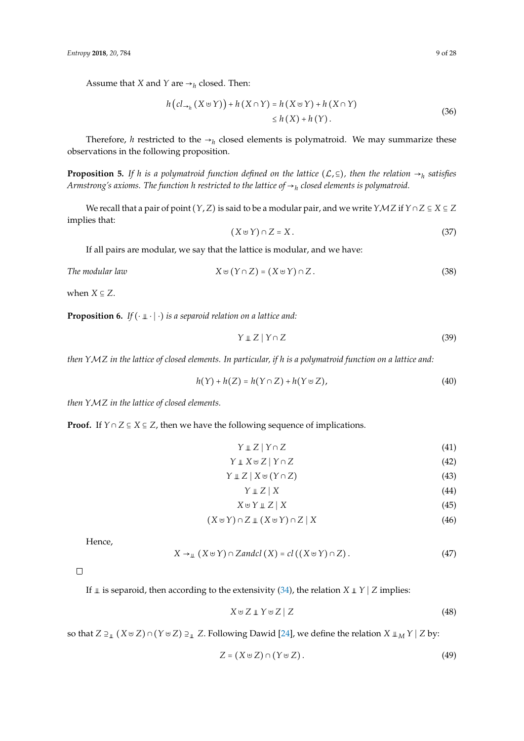Assume that *X* and *Y* are  $\rightarrow$ <sub>*h*</sub> closed. Then:

$$
h\left(cl_{\rightarrow_h}(X\uplus Y)\right) + h\left(X\cap Y\right) = h\left(X\uplus Y\right) + h\left(X\cap Y\right)
$$
  
\n
$$
\leq h\left(X\right) + h\left(Y\right). \tag{36}
$$

Therefore, *h* restricted to the  $\rightarrow$ <sub>*h*</sub> closed elements is polymatroid. We may summarize these observations in the following proposition.

<span id="page-8-0"></span>**Proposition 5.** *If h is a polymatroid function defined on the lattice* (L, ⊆)*, then the relation* →*<sup>h</sup> satisfies Armstrong's axioms. The function h restricted to the lattice of* →*<sup>h</sup> closed elements is polymatroid.*

We recall that a pair of point (*Y*, *Z*) is said to be a modular pair, and we write *Y*M*Z* if *Y*∩*Z* ⊆ *X* ⊆ *Z* implies that:

$$
(X \cup Y) \cap Z = X. \tag{37}
$$

If all pairs are modular, we say that the lattice is modular, and we have:

*The modular law* 

$$
X \uplus (Y \cap Z) = (X \uplus Y) \cap Z. \tag{38}
$$

when  $X \subseteq Z$ .

**Proposition 6.** *If*  $(\cdot \mathbf{L} \cdot | \cdot)$  *is a separoid relation on a lattice and:* 

$$
Y \perp\!\!\!\perp Z \mid Y \cap Z \tag{39}
$$

*then Y*M*Z in the lattice of closed elements. In particular, if h is a polymatroid function on a lattice and:*

$$
h(Y) + h(Z) = h(Y \cap Z) + h(Y \cup Z), \tag{40}
$$

*then Y*M*Z in the lattice of closed elements.*

**Proof.** If *Y* ∩ *Z* ⊆ *X* ⊆ *Z*, then we have the following sequence of implications.

$$
Y \perp\!\!\!\perp Z \mid Y \cap Z \tag{41}
$$

$$
Y \perp X \cup Z \mid Y \cap Z \tag{42}
$$

$$
Y \perp Z \mid X \uplus (Y \cap Z) \tag{43}
$$

$$
Y \perp\!\!\!\perp Z \mid X \tag{44}
$$

$$
X \uplus Y \perp\!\!\!\perp Z \mid X \tag{45}
$$

$$
(X \cup Y) \cap Z \perp (X \cup Y) \cap Z \mid X \tag{46}
$$

Hence,

$$
X \to_{\mathbb{L}} (X \cup Y) \cap Z \text{ and } C(X) = cl((X \cup Y) \cap Z).
$$
 (47)

 $\Box$ 

If  $\bot$  is separoid, then according to the extensivity [\(34\)](#page-7-0), the relation *X*  $\bot$  *Y* | *Z* implies:

$$
X \cup Z \perp Y \cup Z \mid Z \tag{48}
$$

so that  $Z \supseteq_{\mathcal{I}} (X \cup Z) \cap (Y \cup Z) \supseteq_{\mathcal{I}} Z$ . Following Dawid [\[24\]](#page-26-15), we define the relation  $X \perp_M Y \mid Z$  by:

$$
Z = (X \uplus Z) \cap (Y \uplus Z). \tag{49}
$$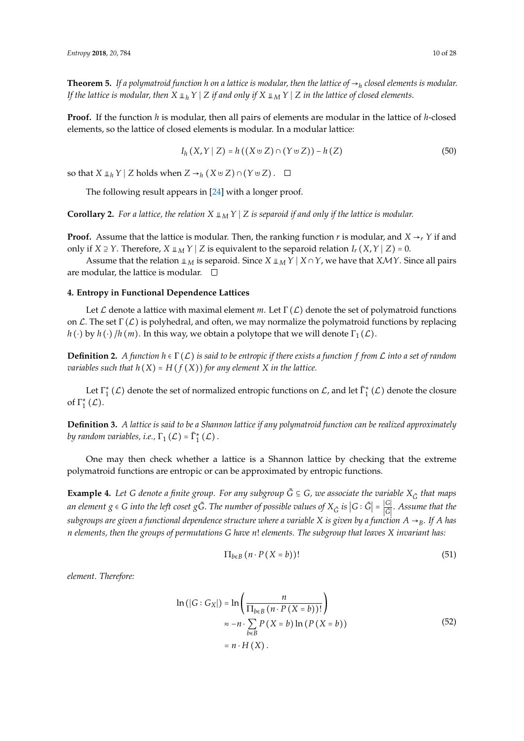**Theorem 5.** *If a polymatroid function h on a lattice is modular, then the lattice of* →*<sup>h</sup> closed elements is modular. If the lattice is modular, then*  $X \perp h$  *Y* | *Z if and only if*  $X \perp M$  *Y* | *Z in the lattice of closed elements.* 

**Proof.** If the function *h* is modular, then all pairs of elements are modular in the lattice of *h*-closed elements, so the lattice of closed elements is modular. In a modular lattice:

$$
I_h(X,Y|Z) = h((X \cup Z) \cap (Y \cup Z)) - h(Z) \tag{50}
$$

so that *X*  $\mu_h Y$  | *Z* holds when  $Z \rightarrow_h (X \cup Z) \cap (Y \cup Z)$ . □

The following result appears in [\[24\]](#page-26-15) with a longer proof.

**Corollary 2.** *For a lattice, the relation*  $X \perp_M Y \mid Z$  *is separoid if and only if the lattice is modular.* 

**Proof.** Assume that the lattice is modular. Then, the ranking function *r* is modular, and  $X \rightarrow r$  *Y* if and only if *X* ⊇ *Y*. Therefore, *X*  $\mathbb{I}_M$  *Y* | *Z* is equivalent to the separoid relation *I<sub>r</sub>* (*X*, *Y* | *Z*) = 0.

Assume that the relation  $\mathbb{I}_M$  is separoid. Since  $X \mathbb{I}_M Y | X \cap Y$ , we have that  $XMY$ . Since all pairs are modular, the lattice is modular.  $\square$ 

### <span id="page-9-0"></span>**4. Entropy in Functional Dependence Lattices**

Let  $\mathcal L$  denote a lattice with maximal element *m*. Let  $\Gamma(\mathcal L)$  denote the set of polymatroid functions on L. The set  $\Gamma(\mathcal{L})$  is polyhedral, and often, we may normalize the polymatroid functions by replacing  $h(\cdot)$  by  $h(\cdot)/h(m)$ . In this way, we obtain a polytope that we will denote  $\Gamma_1(\mathcal{L})$ .

**Definition 2.** *A function h* ∈ Γ (L) *is said to be entropic if there exists a function f from* L *into a set of random variables such that h*  $(X) = H(f(X))$  *for any element X in the lattice.* 

Let  $\Gamma_1^*$  $\int_1^*(\mathcal{L})$  denote the set of normalized entropic functions on  $\mathcal{L}$ , and let  $\Gamma_1^*(\mathcal{L})$  denote the closure of  $\Gamma_1^*$  $_{1}^{*}(\mathcal{L}).$ 

<span id="page-9-1"></span>**Definition 3.** *A lattice is said to be a Shannon lattice if any polymatroid function can be realized approximately by random variables, i.e.,*  $\Gamma_1(\mathcal{L}) = \Gamma_1^*(\mathcal{L})$ .

One may then check whether a lattice is a Shannon lattice by checking that the extreme polymatroid functions are entropic or can be approximated by entropic functions.

**Example 4.** Let *G* denote a finite group. For any subgroup  $\tilde{G} \subseteq G$ , we associate the variable  $X_{\tilde{G}}$  that maps  $a$ n element  $g$  ∈  $G$  *into the left coset*  $g\tilde{G}$ *. The number of possible values of*  $X_{\tilde{G}}$  *is*  $|G:\tilde{G}|=\frac{|G|}{|\tilde{G}|}$ ∣*G*˜∣ *. Assume that the subgroups are given a functional dependence structure where a variable X is given by a function*  $A \rightarrow_B$ *. If*  $A$  *has n elements, then the groups of permutations G have n*! *elements. The subgroup that leaves X invariant has:*

$$
\Pi_{b \in B} \left( n \cdot P \left( X = b \right) \right) ! \tag{51}
$$

*element. Therefore:*

$$
\ln(|G:G_X|) = \ln\left(\frac{n}{\prod_{b \in B} (n \cdot P(X = b))!}\right)
$$
  

$$
\approx -n \cdot \sum_{b \in B} P(X = b) \ln(P(X = b))
$$
  
=  $n \cdot H(X)$ . (52)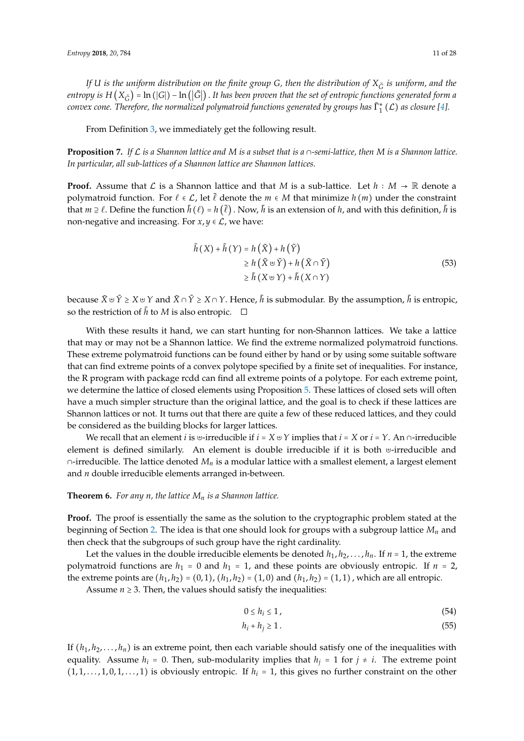*If U is the uniform distribution on the finite group G, then the distribution of XG*˜ *is uniform, and the entropy is*  $H(X_{\tilde{C}}) = \ln(|G|) - \ln(|\tilde{G}|)$ . It has been proven that the set of entropic functions generated form a  $c$ onvex cone. Therefore, the normalized polymatroid functions generated by groups has  $\bar{\Gamma}_1^*$  (L) as closure [\[4\]](#page-25-3).

From Definition [3,](#page-9-1) we immediately get the following result.

**Proposition 7.** *If* L *is a Shannon lattice and M is a subset that is a* ∩*-semi-lattice, then M is a Shannon lattice. In particular, all sub-lattices of a Shannon lattice are Shannon lattices.*

**Proof.** Assume that  $\mathcal{L}$  is a Shannon lattice and that *M* is a sub-lattice. Let  $h : M \to \mathbb{R}$  denote a polymatroid function. For  $\ell \in \mathcal{L}$ , let  $\tilde{\ell}$  denote the  $m \in M$  that minimize  $h(m)$  under the constraint that  $m \supseteq \ell$ . Define the function  $\tilde{h}(\ell) = h(\tilde{\ell})$ . Now,  $\tilde{h}$  is an extension of *h*, and with this definition,  $\tilde{h}$  is non-negative and increasing. For  $x, y \in \mathcal{L}$ , we have:

$$
\tilde{h}(X) + \tilde{h}(Y) = h(\tilde{X}) + h(\tilde{Y})
$$
\n
$$
\geq h(\tilde{X} \oplus \tilde{Y}) + h(\tilde{X} \cap \tilde{Y})
$$
\n
$$
\geq \tilde{h}(X \oplus Y) + \tilde{h}(X \cap Y)
$$
\n(53)

because  $\tilde{X} \cup \tilde{Y} \geq X \cup Y$  and  $\tilde{X} \cap \tilde{Y} \geq X \cap Y$ . Hence,  $\tilde{h}$  is submodular. By the assumption,  $\tilde{h}$  is entropic, so the restriction of  $\tilde{h}$  to *M* is also entropic.  $\Box$ 

With these results it hand, we can start hunting for non-Shannon lattices. We take a lattice that may or may not be a Shannon lattice. We find the extreme normalized polymatroid functions. These extreme polymatroid functions can be found either by hand or by using some suitable software that can find extreme points of a convex polytope specified by a finite set of inequalities. For instance, the R program with package rcdd can find all extreme points of a polytope. For each extreme point, we determine the lattice of closed elements using Proposition [5.](#page-8-0) These lattices of closed sets will often have a much simpler structure than the original lattice, and the goal is to check if these lattices are Shannon lattices or not. It turns out that there are quite a few of these reduced lattices, and they could be considered as the building blocks for larger lattices.

We recall that an element *i* is  $\uplus$ -irreducible if  $i = X \uplus Y$  implies that  $i = X$  or  $i = Y$ . An ∩-irreducible element is defined similarly. An element is double irreducible if it is both ⊎-irreducible and ∩-irreducible. The lattice denoted  $M<sub>n</sub>$  is a modular lattice with a smallest element, a largest element and *n* double irreducible elements arranged in-between.

#### **Theorem 6.** *For any n, the lattice M<sup>n</sup> is a Shannon lattice.*

**Proof.** The proof is essentially the same as the solution to the cryptographic problem stated at the beginning of Section [2.](#page-2-0) The idea is that one should look for groups with a subgroup lattice *M<sup>n</sup>* and then check that the subgroups of such group have the right cardinality.

Let the values in the double irreducible elements be denoted  $h_1, h_2, \ldots, h_n$ . If  $n = 1$ , the extreme polymatroid functions are  $h_1 = 0$  and  $h_1 = 1$ , and these points are obviously entropic. If  $n = 2$ , the extreme points are  $(h_1, h_2) = (0, 1)$ ,  $(h_1, h_2) = (1, 0)$  and  $(h_1, h_2) = (1, 1)$ , which are all entropic.

Assume  $n \geq 3$ . Then, the values should satisfy the inequalities:

$$
0 \le h_i \le 1 \tag{54}
$$

$$
h_i + h_j \ge 1. \tag{55}
$$

If  $(h_1, h_2, \ldots, h_n)$  is an extreme point, then each variable should satisfy one of the inequalities with equality. Assume  $h_i = 0$ . Then, sub-modularity implies that  $h_j = 1$  for  $j \neq i$ . The extreme point  $(1, 1, \ldots, 1, 0, 1, \ldots, 1)$  is obviously entropic. If  $h_i = 1$ , this gives no further constraint on the other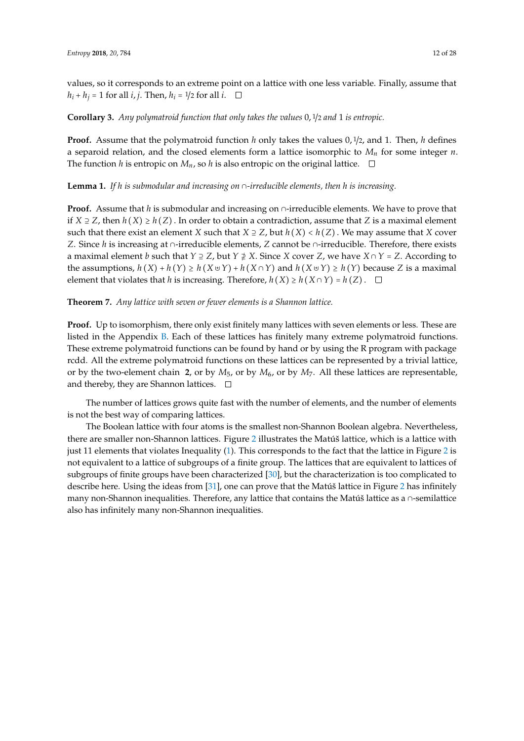values, so it corresponds to an extreme point on a lattice with one less variable. Finally, assume that  $h_i + h_j = 1$  for all *i*, *j*. Then,  $h_i = 1/2$  for all *i*.  $\square$ 

# **Corollary 3.** *Any polymatroid function that only takes the values* 0, 1/2 *and* 1 *is entropic.*

**Proof.** Assume that the polymatroid function *h* only takes the values 0, 1/2, and 1. Then, *h* defines a separoid relation, and the closed elements form a lattice isomorphic to *M<sup>n</sup>* for some integer *n*. The function *h* is entropic on  $M_n$ , so *h* is also entropic on the original lattice.  $\Box$ 

## **Lemma 1.** *If h is submodular and increasing on* ∩*-irreducible elements, then h is increasing.*

**Proof.** Assume that *h* is submodular and increasing on ∩-irreducible elements. We have to prove that if *X* ⊇ *Z*, then *h* (*X*) ≥ *h* (*Z*). In order to obtain a contradiction, assume that *Z* is a maximal element such that there exist an element *X* such that  $X \supseteq Z$ , but  $h(X) < h(Z)$ . We may assume that *X* cover *Z*. Since *h* is increasing at ∩-irreducible elements, *Z* cannot be ∩-irreducible. Therefore, there exists a maximal element *b* such that  $Y \supseteq Z$ , but  $Y \supseteq X$ . Since *X* cover *Z*, we have  $X \cap Y = Z$ . According to the assumptions,  $h(X) + h(Y) \ge h(X \cup Y) + h(X \cap Y)$  and  $h(X \cup Y) \ge h(Y)$  because *Z* is a maximal element that violates that *h* is increasing. Therefore,  $h(X) \ge h(X \cap Y) = h(Z)$ .  $\Box$ 

## **Theorem 7.** *Any lattice with seven or fewer elements is a Shannon lattice.*

**Proof.** Up to isomorphism, there only exist finitely many lattices with seven elements or less. These are listed in the Appendix [B.](#page-18-1) Each of these lattices has finitely many extreme polymatroid functions. These extreme polymatroid functions can be found by hand or by using the R program with package rcdd. All the extreme polymatroid functions on these lattices can be represented by a trivial lattice, or by the two-element chain  $2$ , or by  $M_5$ , or by  $M_6$ , or by  $M_7$ . All these lattices are representable, and thereby, they are Shannon lattices.  $\Box$ 

The number of lattices grows quite fast with the number of elements, and the number of elements is not the best way of comparing lattices.

The Boolean lattice with four atoms is the smallest non-Shannon Boolean algebra. Nevertheless, there are smaller non-Shannon lattices. Figure [2](#page-12-1) illustrates the Matúš lattice, which is a lattice with just 11 elements that violates Inequality [\(1\)](#page-0-0). This corresponds to the fact that the lattice in Figure [2](#page-12-1) is not equivalent to a lattice of subgroups of a finite group. The lattices that are equivalent to lattices of subgroups of finite groups have been characterized [\[30\]](#page-26-21), but the characterization is too complicated to describe here. Using the ideas from [\[31\]](#page-26-22), one can prove that the Matúš lattice in Figure [2](#page-12-1) has infinitely many non-Shannon inequalities. Therefore, any lattice that contains the Matúš lattice as a ∩-semilattice also has infinitely many non-Shannon inequalities.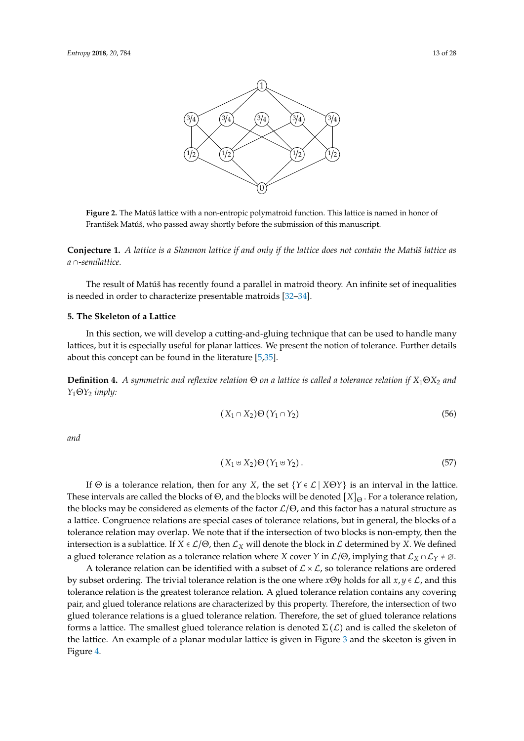<span id="page-12-1"></span>

**Figure 2.** The Matúš lattice with a non-entropic polymatroid function. This lattice is named in honor of František Matúš, who passed away shortly before the submission of this manuscript.

**Conjecture 1.** *A lattice is a Shannon lattice if and only if the lattice does not contain the Matúš lattice as a* ∩*-semilattice.*

The result of Matúš has recently found a parallel in matroid theory. An infinite set of inequalities is needed in order to characterize presentable matroids [\[32–](#page-26-23)[34\]](#page-27-0).

#### <span id="page-12-0"></span>**5. The Skeleton of a Lattice**

In this section, we will develop a cutting-and-gluing technique that can be used to handle many lattices, but it is especially useful for planar lattices. We present the notion of tolerance. Further details about this concept can be found in the literature [\[5](#page-25-4)[,35\]](#page-27-1).

**Definition 4.** *A symmetric and reflexive relation* Θ *on a lattice is called a tolerance relation if X*1Θ*X*<sup>2</sup> *and Y*1Θ*Y*<sup>2</sup> *imply:*

$$
(X_1 \cap X_2) \Theta (Y_1 \cap Y_2) \tag{56}
$$

*and*

$$
(X_1 \uplus X_2) \Theta (Y_1 \uplus Y_2). \tag{57}
$$

If  $\Theta$  is a tolerance relation, then for any *X*, the set {*Y*  $\in$  *L* | *X* $\Theta$ *Y*} is an interval in the lattice. These intervals are called the blocks of  $\Theta$ , and the blocks will be denoted  $[X]_{\Theta}$ . For a tolerance relation, the blocks may be considered as elements of the factor  $\mathcal{L}/\Theta$ , and this factor has a natural structure as a lattice. Congruence relations are special cases of tolerance relations, but in general, the blocks of a tolerance relation may overlap. We note that if the intersection of two blocks is non-empty, then the intersection is a sublattice. If  $X \in \mathcal{L}/\Theta$ , then  $\mathcal{L}_X$  will denote the block in  $\mathcal L$  determined by X. We defined a glued tolerance relation as a tolerance relation where *X* cover *Y* in  $\mathcal{L}/\Theta$ , implying that  $\mathcal{L}_X \cap \mathcal{L}_Y \neq \emptyset$ .

A tolerance relation can be identified with a subset of  $\mathcal{L} \times \mathcal{L}$ , so tolerance relations are ordered by subset ordering. The trivial tolerance relation is the one where *x*Θ*y* holds for all *x*, *y* ∈ L, and this tolerance relation is the greatest tolerance relation. A glued tolerance relation contains any covering pair, and glued tolerance relations are characterized by this property. Therefore, the intersection of two glued tolerance relations is a glued tolerance relation. Therefore, the set of glued tolerance relations forms a lattice. The smallest glued tolerance relation is denoted  $\Sigma(\mathcal{L})$  and is called the skeleton of the lattice. An example of a planar modular lattice is given in Figure [3](#page-13-0) and the skeeton is given in Figure [4.](#page-13-1)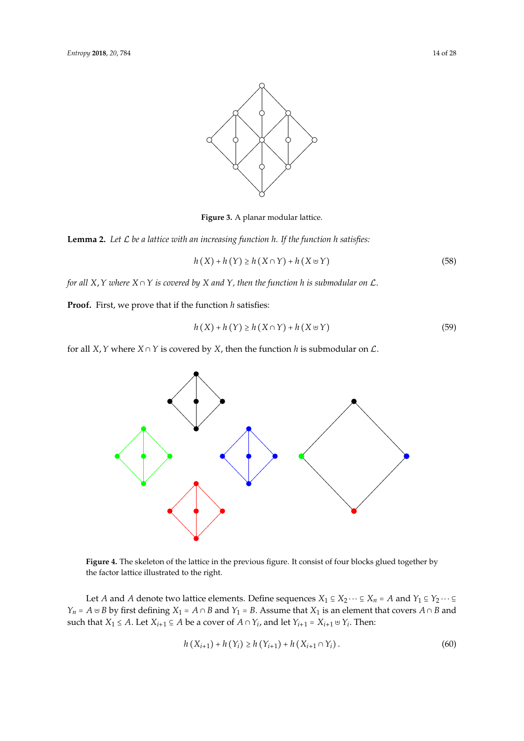<span id="page-13-0"></span>

**Figure 3.** A planar modular lattice.

**Lemma 2.** *Let* L *be a lattice with an increasing function h. If the function h satisfies:*

$$
h(X) + h(Y) \ge h(X \cap Y) + h(X \cup Y)
$$
\n<sup>(58)</sup>

*for all X*,*Y where X* ∩*Y is covered by X and Y, then the function h is submodular on* L.

**Proof.** First, we prove that if the function *h* satisfies:

$$
h(X) + h(Y) \ge h(X \cap Y) + h(X \cup Y)
$$
\n<sup>(59)</sup>

<span id="page-13-1"></span>for all *X*, *Y* where *X* ∩ *Y* is covered by *X*, then the function *h* is submodular on  $\mathcal{L}$ .



**Figure 4.** The skeleton of the lattice in the previous figure. It consist of four blocks glued together by the factor lattice illustrated to the right.

Let *A* and *A* denote two lattice elements. Define sequences  $X_1 \subseteq X_2 \cdots \subseteq X_n = A$  and  $Y_1 \subseteq Y_2 \cdots \subseteq$ *Y*<sub>*n*</sub> = *A* ⊎ *B* by first defining *X*<sub>1</sub> = *A* ∩ *B* and *Y*<sub>1</sub> = *B*. Assume that *X*<sub>1</sub> is an element that covers *A* ∩ *B* and such that  $X_1$  ≤ *A*. Let  $X_{i+1}$  ⊆ *A* be a cover of  $A \cap Y_i$ , and let  $Y_{i+1} = X_{i+1} \cup Y_i$ . Then:

$$
h(X_{i+1}) + h(Y_i) \ge h(Y_{i+1}) + h(X_{i+1} \cap Y_i).
$$
\n(60)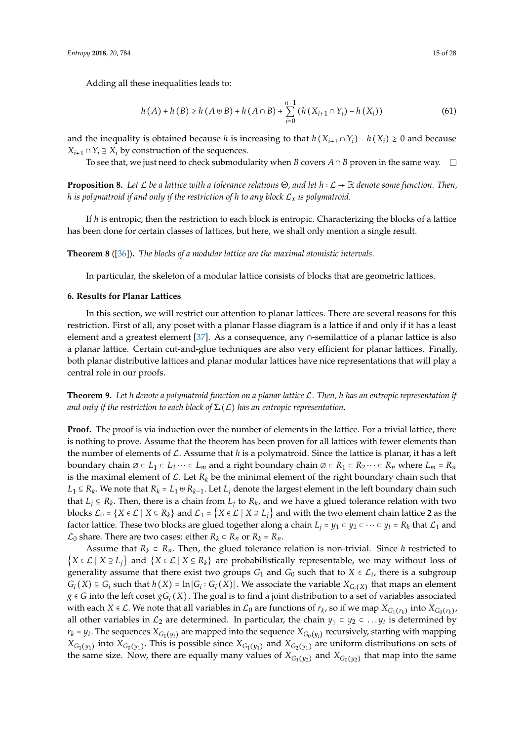Adding all these inequalities leads to:

$$
h(A) + h(B) \ge h(A \cup B) + h(A \cap B) + \sum_{i=0}^{n-1} (h(X_{i+1} \cap Y_i) - h(X_i))
$$
 (61)

and the inequality is obtained because *h* is increasing to that  $h(X_{i+1} \cap Y_i) - h(X_i) \geq 0$  and because  $X_{i+1} ∩ Y_i ⊇ X_i$  by construction of the sequences.

To see that, we just need to check submodularity when *B* covers *A* ∩ *B* proven in the same way.

**Proposition 8.** *Let* L *be a lattice with a tolerance relations* Θ*, and let h* ∶ L → R *denote some function. Then, h is polymatroid if and only if the restriction of h to any block* L*<sup>x</sup> is polymatroid.*

If *h* is entropic, then the restriction to each block is entropic. Characterizing the blocks of a lattice has been done for certain classes of lattices, but here, we shall only mention a single result.

**Theorem 8** ([\[36\]](#page-27-2))**.** *The blocks of a modular lattice are the maximal atomistic intervals.*

In particular, the skeleton of a modular lattice consists of blocks that are geometric lattices.

## <span id="page-14-0"></span>**6. Results for Planar Lattices**

In this section, we will restrict our attention to planar lattices. There are several reasons for this restriction. First of all, any poset with a planar Hasse diagram is a lattice if and only if it has a least element and a greatest element [\[37\]](#page-27-3). As a consequence, any ∩-semilattice of a planar lattice is also a planar lattice. Certain cut-and-glue techniques are also very efficient for planar lattices. Finally, both planar distributive lattices and planar modular lattices have nice representations that will play a central role in our proofs.

**Theorem 9.** *Let h denote a polymatroid function on a planar lattice* L*. Then, h has an entropic representation if and only if the restriction to each block of*  $\Sigma(\mathcal{L})$  *has an entropic representation.* 

**Proof.** The proof is via induction over the number of elements in the lattice. For a trivial lattice, there is nothing to prove. Assume that the theorem has been proven for all lattices with fewer elements than the number of elements of L. Assume that *h* is a polymatroid. Since the lattice is planar, it has a left boundary chain  $\emptyset \subset L_1 \subset L_2 \cdots \subset L_m$  and a right boundary chain  $\emptyset \subset R_1 \subset R_2 \cdots \subset R_n$  where  $L_m = R_n$ is the maximal element of  $\mathcal{L}$ . Let  $R_k$  be the minimal element of the right boundary chain such that *L*<sup>1</sup> ⊆ *R<sup>k</sup>* . We note that *R<sup>k</sup>* = *L*<sup>1</sup> ⊎ *Rk*−<sup>1</sup> . Let *L<sup>j</sup>* denote the largest element in the left boundary chain such that *L<sup>j</sup>* ⊆ *R<sup>k</sup>* . Then, there is a chain from *L<sup>j</sup>* to *R<sup>k</sup>* , and we have a glued tolerance relation with two blocks  $\mathcal{L}_0 = \{X \in \mathcal{L} \mid X \subseteq R_k\}$  and  $\mathcal{L}_1 = \{X \in \mathcal{L} \mid X \supseteq L_i\}$  and with the two element chain lattice 2 as the factor lattice. These two blocks are glued together along a chain  $L_j$  =  $y_1$  ⊂  $y_2$  ⊂  $\cdots$  ⊂  $y_t$  =  $R_k$  that  $\mathcal{L}_1$  and  $\mathcal{L}_0$  share. There are two cases: either  $R_k \subset R_n$  or  $R_k = R_n$ .

Assume that  $R_k \subset R_n$ . Then, the glued tolerance relation is non-trivial. Since *h* restricted to  ${X \in \mathcal{L} \mid X \supseteq L_j}$  and  ${X \in \mathcal{L} \mid X \subseteq R_k}$  are probabilistically representable, we may without loss of generality assume that there exist two groups  $G_1$  and  $G_0$  such that to  $X \in \mathcal{L}_i$ , there is a subgroup *G*<sup>*i*</sup> (*X*) ⊆ *G*<sup>*i*</sup> such that *h* (*X*) = ln |*G*<sup>*i*</sup> : *G*<sup>*i*</sup> (*X*)|. We associate the variable  $X$ <sub>*G*<sup>*i*</sup>(*X*) that maps an element</sub> *g* ∈ *G* into the left coset *g* $G$ <sup>*i*</sup> (*X*). The goal is to find a joint distribution to a set of variables associated with each  $X \in \mathcal{L}$ . We note that all variables in  $\mathcal{L}_0$  are functions of  $r_k$ , so if we map  $X_{G_1(r_k)}$  into  $X_{G_0(r_k)}$ , all other variables in  $\mathcal{L}_2$  are determined. In particular, the chain  $y_1 \subset y_2 \subset \ldots y_t$  is determined by  $r_k$  =  $y_t$ . The sequences  $X_{G_1(y_i)}$  are mapped into the sequence  $X_{G_0(y_i)}$  recursively, starting with mapping  $X_{G_1(y_1)}$  into  $X_{G_0(y_1)}$ . This is possible since  $X_{G_1(y_1)}$  and  $X_{G_2(y_1)}$  are uniform distributions on sets of the same size. Now, there are equally many values of  $X_{G_1(y_2)}$  and  $X_{G_0(y_2)}$  that map into the same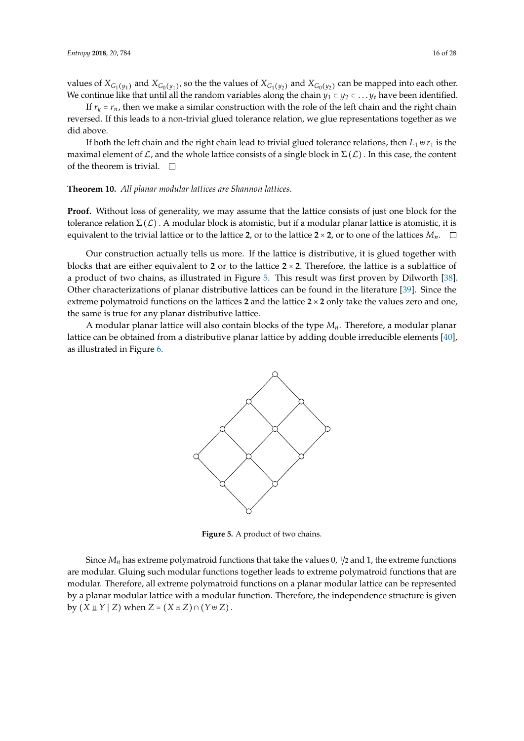values of  $X_{G_1(y_1)}$  and  $X_{G_0(y_1)}$ , so the the values of  $X_{G_1(y_2)}$  and  $X_{G_0(y_2)}$  can be mapped into each other. We continue like that until all the random variables along the chain  $y_1 \subset y_2 \subset \ldots y_t$  have been identified.

If  $r_k = r_n$ , then we make a similar construction with the role of the left chain and the right chain reversed. If this leads to a non-trivial glued tolerance relation, we glue representations together as we did above.

If both the left chain and the right chain lead to trivial glued tolerance relations, then  $L_1 \cup r_1$  is the maximal element of  $\mathcal{L}$ , and the whole lattice consists of a single block in  $\Sigma(\mathcal{L})$ . In this case, the content of the theorem is trivial.  $\square$ 

#### **Theorem 10.** *All planar modular lattices are Shannon lattices.*

**Proof.** Without loss of generality, we may assume that the lattice consists of just one block for the tolerance relation  $\Sigma(\mathcal{L})$ . A modular block is atomistic, but if a modular planar lattice is atomistic, it is equivalent to the trivial lattice or to the lattice **2**, or to the lattice **2** × **2**, or to one of the lattices  $M_n$ .

Our construction actually tells us more. If the lattice is distributive, it is glued together with blocks that are either equivalent to 2 or to the lattice  $2 \times 2$ . Therefore, the lattice is a sublattice of a product of two chains, as illustrated in Figure [5.](#page-15-0) This result was first proven by Dilworth [\[38\]](#page-27-4). Other characterizations of planar distributive lattices can be found in the literature [\[39\]](#page-27-5). Since the extreme polymatroid functions on the lattices **2** and the lattice **2** × **2** only take the values zero and one, the same is true for any planar distributive lattice.

<span id="page-15-0"></span>A modular planar lattice will also contain blocks of the type *Mn*. Therefore, a modular planar lattice can be obtained from a distributive planar lattice by adding double irreducible elements [\[40\]](#page-27-6), as illustrated in Figure [6.](#page-16-0)



**Figure 5.** A product of two chains.

Since  $M_n$  has extreme polymatroid functions that take the values 0,  $1/2$  and 1, the extreme functions are modular. Gluing such modular functions together leads to extreme polymatroid functions that are modular. Therefore, all extreme polymatroid functions on a planar modular lattice can be represented by a planar modular lattice with a modular function. Therefore, the independence structure is given  $\text{by } (X \perp Y | Z) \text{ when } Z = (X \cup Z) \cap (Y \cup Z).$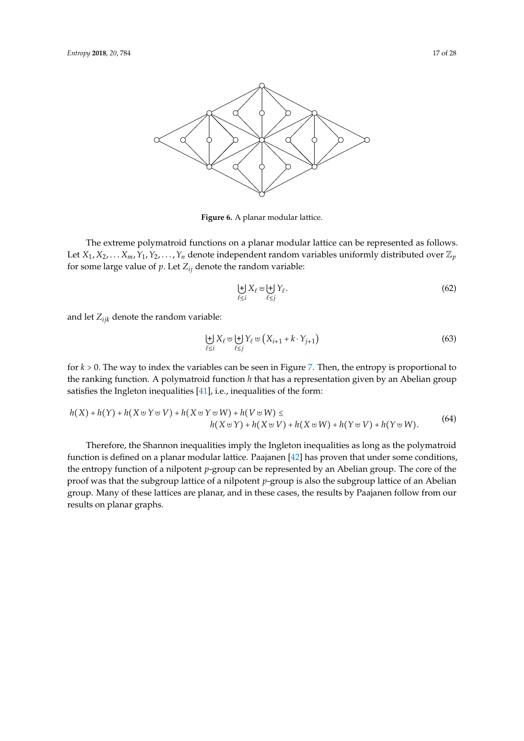<span id="page-16-0"></span>

**Figure 6.** A planar modular lattice.

The extreme polymatroid functions on a planar modular lattice can be represented as follows. Let  $X_1, X_2, \ldots, X_m, Y_1, Y_2, \ldots, Y_n$  denote independent random variables uniformly distributed over  $\mathbb{Z}_p$ for some large value of  $p$ . Let  $Z_{ij}$  denote the random variable:

$$
\biguplus_{\ell \leq i} X_{\ell} \uplus \biguplus_{\ell \leq j} Y_{\ell}.\tag{62}
$$

and let *Zijk* denote the random variable:

$$
\biguplus_{\ell \leq i} X_{\ell} \uplus \biguplus_{\ell \leq j} Y_{\ell} \uplus \left( X_{i+1} + k \cdot Y_{j+1} \right) \tag{63}
$$

for *k* > 0. The way to index the variables can be seen in Figure [7.](#page-17-0) Then, the entropy is proportional to the ranking function. A polymatroid function *h* that has a representation given by an Abelian group satisfies the Ingleton inequalities [\[41\]](#page-27-7), i.e., inequalities of the form:

$$
h(X) + h(Y) + h(X \cup Y \cup V) + h(X \cup Y \cup W) + h(V \cup W) \le
$$
  
 
$$
h(X \cup Y) + h(X \cup V) + h(X \cup W) + h(Y \cup W) + h(Y \cup V) + h(Y \cup W).
$$
 (64)

Therefore, the Shannon inequalities imply the Ingleton inequalities as long as the polymatroid function is defined on a planar modular lattice. Paajanen [\[42\]](#page-27-8) has proven that under some conditions, the entropy function of a nilpotent *p*-group can be represented by an Abelian group. The core of the proof was that the subgroup lattice of a nilpotent *p*-group is also the subgroup lattice of an Abelian group. Many of these lattices are planar, and in these cases, the results by Paajanen follow from our results on planar graphs.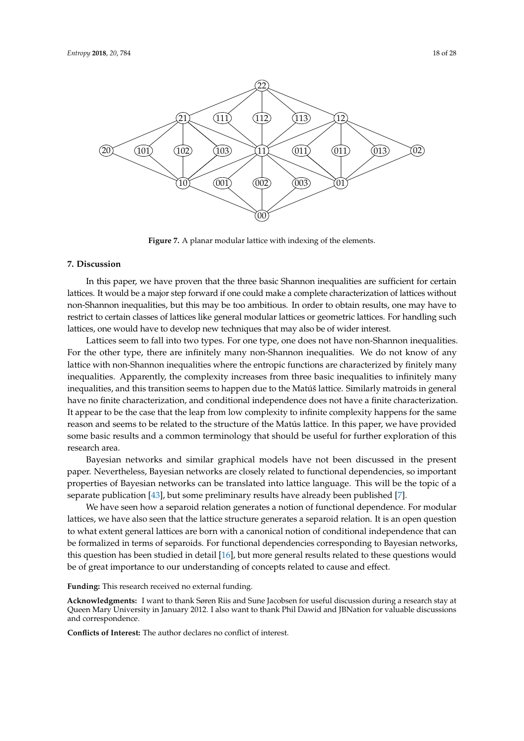<span id="page-17-0"></span>

**Figure 7.** A planar modular lattice with indexing of the elements.

## **7. Discussion**

In this paper, we have proven that the three basic Shannon inequalities are sufficient for certain lattices. It would be a major step forward if one could make a complete characterization of lattices without non-Shannon inequalities, but this may be too ambitious. In order to obtain results, one may have to restrict to certain classes of lattices like general modular lattices or geometric lattices. For handling such lattices, one would have to develop new techniques that may also be of wider interest.

Lattices seem to fall into two types. For one type, one does not have non-Shannon inequalities. For the other type, there are infinitely many non-Shannon inequalities. We do not know of any lattice with non-Shannon inequalities where the entropic functions are characterized by finitely many inequalities. Apparently, the complexity increases from three basic inequalities to infinitely many inequalities, and this transition seems to happen due to the Matúš lattice. Similarly matroids in general have no finite characterization, and conditional independence does not have a finite characterization. It appear to be the case that the leap from low complexity to infinite complexity happens for the same reason and seems to be related to the structure of the Matús lattice. In this paper, we have provided some basic results and a common terminology that should be useful for further exploration of this research area.

Bayesian networks and similar graphical models have not been discussed in the present paper. Nevertheless, Bayesian networks are closely related to functional dependencies, so important properties of Bayesian networks can be translated into lattice language. This will be the topic of a separate publication [\[43\]](#page-27-9), but some preliminary results have already been published [\[7\]](#page-26-1).

We have seen how a separoid relation generates a notion of functional dependence. For modular lattices, we have also seen that the lattice structure generates a separoid relation. It is an open question to what extent general lattices are born with a canonical notion of conditional independence that can be formalized in terms of separoids. For functional dependencies corresponding to Bayesian networks, this question has been studied in detail [\[16\]](#page-26-7), but more general results related to these questions would be of great importance to our understanding of concepts related to cause and effect.

**Funding:** This research received no external funding.

**Acknowledgments:** I want to thank Søren Riis and Sune Jacobsen for useful discussion during a research stay at Queen Mary University in January 2012. I also want to thank Phil Dawid and JBNation for valuable discussions and correspondence.

**Conflicts of Interest:** The author declares no conflict of interest.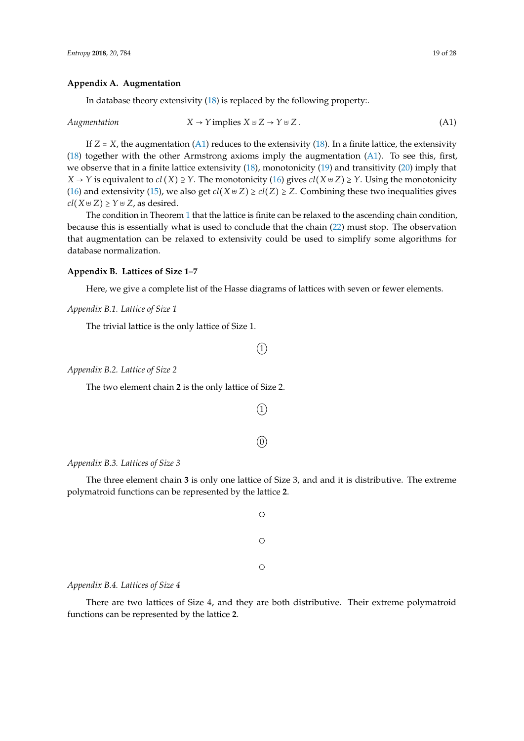#### <span id="page-18-0"></span>**Appendix A. Augmentation**

In database theory extensivity [\(18\)](#page-4-0) is replaced by the following property:.

*Augmentation*  $X \to Y$  implies  $X \uplus Z \to Y \uplus Z$ . (A1)

If  $Z = X$ , the augmentation [\(A1\)](#page-18-2) reduces to the extensivity [\(18\)](#page-4-0). In a finite lattice, the extensivity [\(18\)](#page-4-0) together with the other Armstrong axioms imply the augmentation [\(A1\)](#page-18-2). To see this, first, we observe that in a finite lattice extensivity [\(18\)](#page-4-0), monotonicity [\(19\)](#page-4-2) and transitivity [\(20\)](#page-4-1) imply that *X* → *Y* is equivalent to *cl* (*X*)  $\supseteq$  *Y*. The monotonicity [\(16\)](#page-3-2) gives *cl*(*X* ⊎ *Z*)  $\geq$  *Y*. Using the monotonicity [\(16\)](#page-3-2) and extensivity [\(15\)](#page-3-1), we also get  $cl(X ⊕ Z) ≥ cl(Z) ≥ Z$ . Combining these two inequalities gives  $cl(X \cup Z) \geq Y \cup Z$ , as desired.

The condition in Theorem [1](#page-4-3) that the lattice is finite can be relaxed to the ascending chain condition, because this is essentially what is used to conclude that the chain [\(22\)](#page-4-4) must stop. The observation that augmentation can be relaxed to extensivity could be used to simplify some algorithms for database normalization.

#### <span id="page-18-1"></span>**Appendix B. Lattices of Size 1–7**

Here, we give a complete list of the Hasse diagrams of lattices with seven or fewer elements.

#### *Appendix B.1. Lattice of Size 1*

The trivial lattice is the only lattice of Size 1.

```
\left( 1\right)
```
1

 $\overline{0}$ 

## *Appendix B.2. Lattice of Size 2*

The two element chain **2** is the only lattice of Size 2.



The three element chain **3** is only one lattice of Size 3, and and it is distributive. The extreme polymatroid functions can be represented by the lattice **2**.

# *Appendix B.4. Lattices of Size 4*

There are two lattices of Size 4, and they are both distributive. Their extreme polymatroid functions can be represented by the lattice **2**.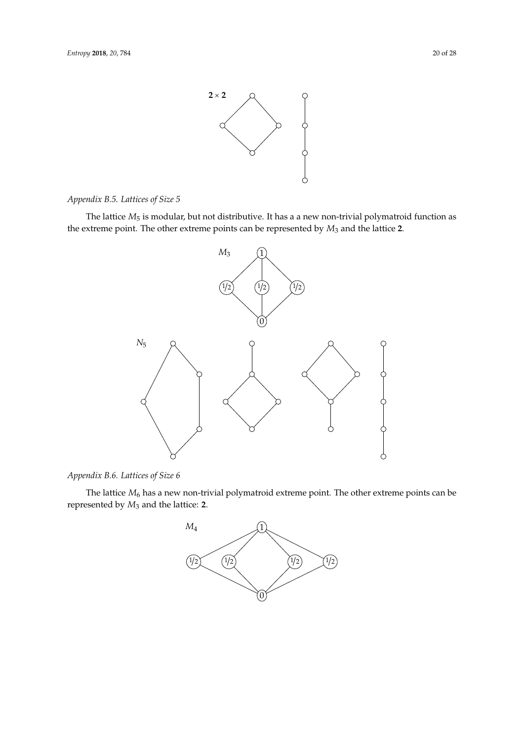

# *Appendix B.5. Lattices of Size 5*

The lattice *M*<sup>5</sup> is modular, but not distributive. It has a a new non-trivial polymatroid function as the extreme point. The other extreme points can be represented by *M*<sup>3</sup> and the lattice **2**.



*Appendix B.6. Lattices of Size 6*

The lattice *M*<sup>6</sup> has a new non-trivial polymatroid extreme point. The other extreme points can be represented by *M*<sup>3</sup> and the lattice: **2**.

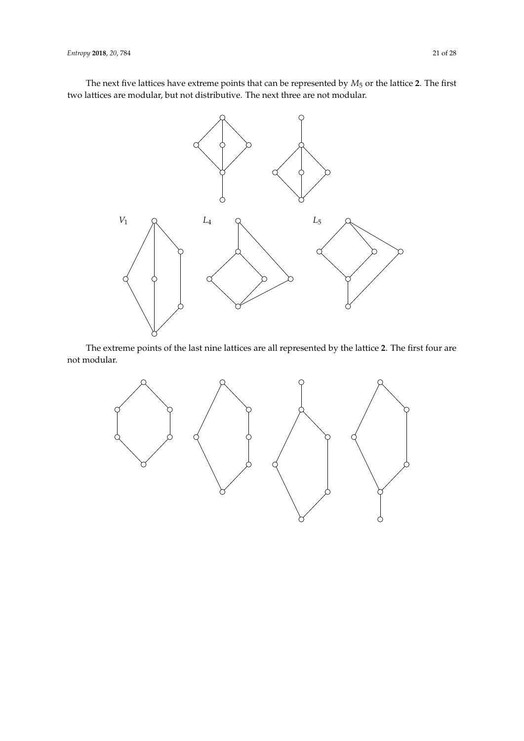The next five lattices have extreme points that can be represented by  $M_5$  or the lattice 2. The first two lattices are modular, but not distributive. The next three are not modular.



The extreme points of the last nine lattices are all represented by the lattice **2**. The first four are not modular.

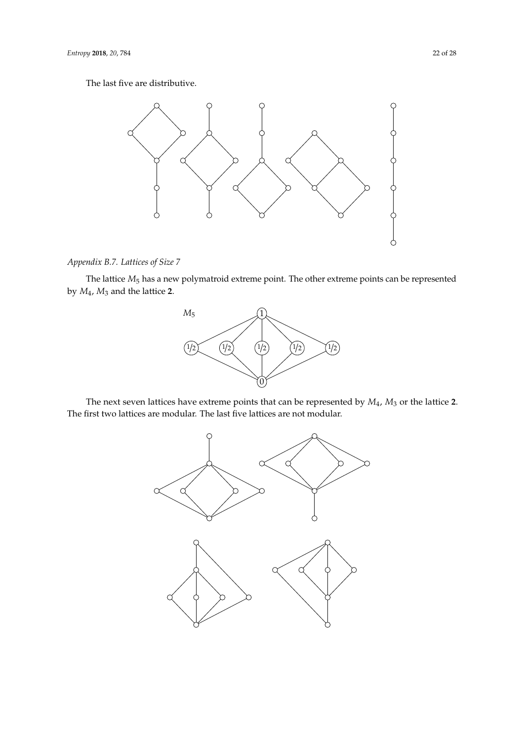The last five are distributive.



# *Appendix B.7. Lattices of Size 7*

The lattice  $M_5$  has a new polymatroid extreme point. The other extreme points can be represented by *M*4, *M*<sup>3</sup> and the lattice **2**.



The next seven lattices have extreme points that can be represented by *M*4, *M*<sup>3</sup> or the lattice **2**. The first two lattices are modular. The last five lattices are not modular.

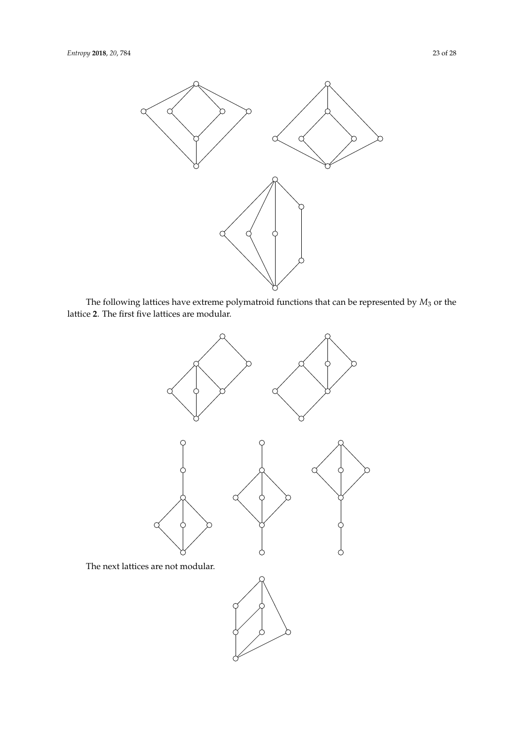

The following lattices have extreme polymatroid functions that can be represented by  $M_3$  or the lattice **2**. The first five lattices are modular.



The next lattices are not modular.

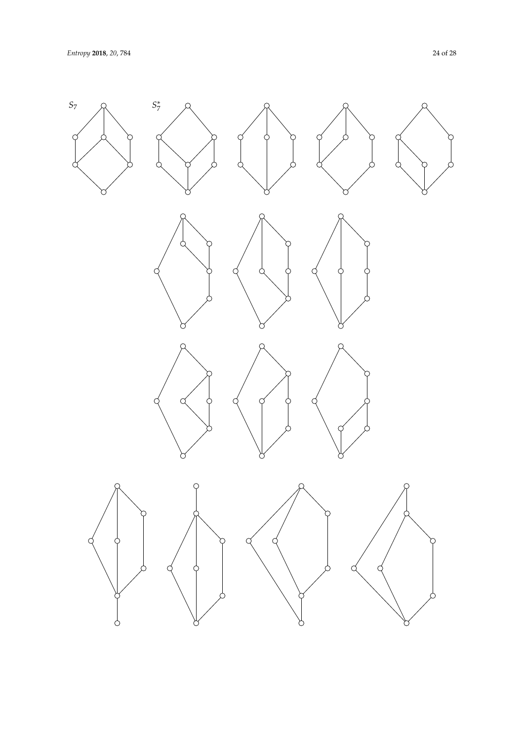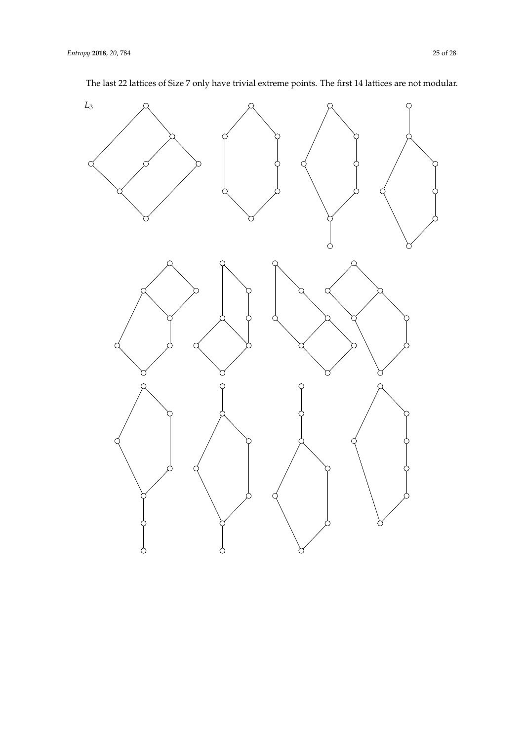

The last 22 lattices of Size 7 only have trivial extreme points. The first 14 lattices are not modular.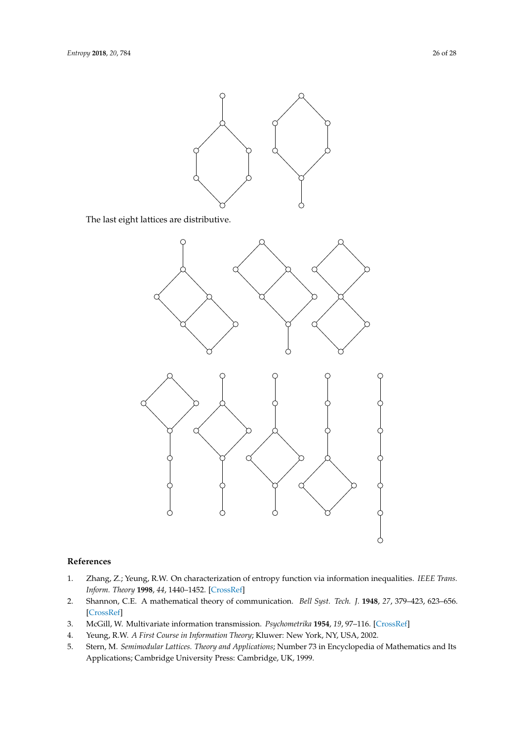

The last eight lattices are distributive.



# **References**

- <span id="page-25-0"></span>1. Zhang, Z.; Yeung, R.W. On characterization of entropy function via information inequalities. *IEEE Trans. Inform. Theory* **1998**, *44*, 1440–1452. [\[CrossRef\]](http://dx.doi.org/10.1109/18.681320)
- <span id="page-25-1"></span>2. Shannon, C.E. A mathematical theory of communication. *Bell Syst. Tech. J.* **1948**, *27*, 379–423, 623–656. [\[CrossRef\]](http://dx.doi.org/10.1002/j.1538-7305.1948.tb01338.x)
- <span id="page-25-2"></span>3. McGill, W. Multivariate information transmission. *Psychometrika* **1954**, *19*, 97–116. [\[CrossRef\]](http://dx.doi.org/10.1007/BF02289159)
- <span id="page-25-3"></span>4. Yeung, R.W. *A First Course in Information Theory*; Kluwer: New York, NY, USA, 2002.
- <span id="page-25-4"></span>5. Stern, M. *Semimodular Lattices. Theory and Applications*; Number 73 in Encyclopedia of Mathematics and Its Applications; Cambridge University Press: Cambridge, UK, 1999.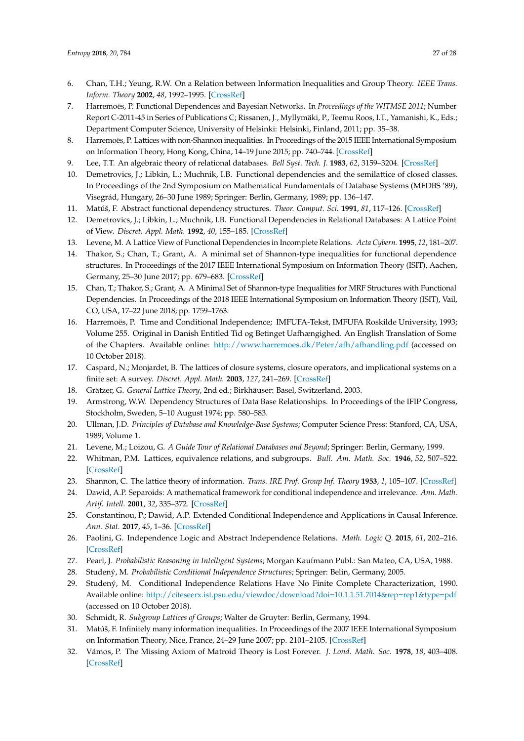- <span id="page-26-0"></span>6. Chan, T.H.; Yeung, R.W. On a Relation between Information Inequalities and Group Theory. *IEEE Trans. Inform. Theory* **2002**, *48*, 1992–1995. [\[CrossRef\]](http://dx.doi.org/10.1109/TIT.2002.1013138)
- <span id="page-26-1"></span>7. Harremoës, P. Functional Dependences and Bayesian Networks. In *Proceedings of the WITMSE 2011*; Number Report C-2011-45 in Series of Publications C; Rissanen, J., Myllymäki, P., Teemu Roos, I.T., Yamanishi, K., Eds.; Department Computer Science, University of Helsinki: Helsinki, Finland, 2011; pp. 35–38.
- <span id="page-26-2"></span>8. Harremoës, P. Lattices with non-Shannon inequalities. In Proceedings of the 2015 IEEE International Symposium on Information Theory, Hong Kong, China, 14–19 June 2015; pp. 740–744. [\[CrossRef\]](http://dx.doi.org/10.1109/ISIT.2015.7282553)
- <span id="page-26-3"></span>9. Lee, T.T. An algebraic theory of relational databases. *Bell Syst. Tech. J.* **1983**, *62*, 3159–3204. [\[CrossRef\]](http://dx.doi.org/10.1002/j.1538-7305.1983.tb03470.x)
- 10. Demetrovics, J.; Libkin, L.; Muchnik, I.B. Functional dependencies and the semilattice of closed classes. In Proceedings of the 2nd Symposium on Mathematical Fundamentals of Database Systems (MFDBS '89), Visegrád, Hungary, 26–30 June 1989; Springer: Berlin, Germany, 1989; pp. 136–147.
- 11. Matúš, F. Abstract functional dependency structures. *Theor. Comput. Sci.* **1991**, *81*, 117–126. [\[CrossRef\]](http://dx.doi.org/10.1016/0304-3975(91)90319-W)
- 12. Demetrovics, J.; Libkin, L.; Muchnik, I.B. Functional Dependencies in Relational Databases: A Lattice Point of View. *Discret. Appl. Math.* **1992**, *40*, 155–185. [\[CrossRef\]](http://dx.doi.org/10.1016/0166-218X(92)90028-9)
- <span id="page-26-4"></span>13. Levene, M. A Lattice View of Functional Dependencies in Incomplete Relations. *Acta Cybern.* **1995**, *12*, 181–207.
- <span id="page-26-5"></span>14. Thakor, S.; Chan, T.; Grant, A. A minimal set of Shannon-type inequalities for functional dependence structures. In Proceedings of the 2017 IEEE International Symposium on Information Theory (ISIT), Aachen, Germany, 25–30 June 2017; pp. 679–683. [\[CrossRef\]](http://dx.doi.org/10.1109/ISIT.2017.8006614)
- <span id="page-26-6"></span>15. Chan, T.; Thakor, S.; Grant, A. A Minimal Set of Shannon-type Inequalities for MRF Structures with Functional Dependencies. In Proceedings of the 2018 IEEE International Symposium on Information Theory (ISIT), Vail, CO, USA, 17–22 June 2018; pp. 1759–1763.
- <span id="page-26-7"></span>16. Harremoës, P. Time and Conditional Independence; IMFUFA-Tekst, IMFUFA Roskilde University, 1993; Volume 255. Original in Danish Entitled Tid og Betinget Uafhængighed. An English Translation of Some of the Chapters. Available online: <http://www.harremoes.dk/Peter/afh/afhandling.pdf> (accessed on 10 October 2018).
- <span id="page-26-8"></span>17. Caspard, N.; Monjardet, B. The lattices of closure systems, closure operators, and implicational systems on a finite set: A survey. *Discret. Appl. Math.* **2003**, *127*, 241–269. [\[CrossRef\]](http://dx.doi.org/10.1016/S0166-218X(02)00209-3)
- <span id="page-26-9"></span>18. Grätzer, G. *General Lattice Theory*, 2nd ed.; Birkhäuser: Basel, Switzerland, 2003.
- <span id="page-26-10"></span>19. Armstrong, W.W. Dependency Structures of Data Base Relationships. In Proceedings of the IFIP Congress, Stockholm, Sweden, 5–10 August 1974; pp. 580–583.
- <span id="page-26-11"></span>20. Ullman, J.D. *Principles of Database and Knowledge-Base Systems*; Computer Science Press: Stanford, CA, USA, 1989; Volume 1.
- <span id="page-26-12"></span>21. Levene, M.; Loizou, G. *A Guide Tour of Relational Databases and Beyond*; Springer: Berlin, Germany, 1999.
- <span id="page-26-13"></span>22. Whitman, P.M. Lattices, equivalence relations, and subgroups. *Bull. Am. Math. Soc.* **1946**, *52*, 507–522. [\[CrossRef\]](http://dx.doi.org/10.1090/S0002-9904-1946-08602-4)
- <span id="page-26-14"></span>23. Shannon, C. The lattice theory of information. *Trans. IRE Prof. Group Inf. Theory* **1953**, *1*, 105–107. [\[CrossRef\]](http://dx.doi.org/10.1109/TIT.1953.1188572)
- <span id="page-26-15"></span>24. Dawid, A.P. Separoids: A mathematical framework for conditional independence and irrelevance. *Ann. Math. Artif. Intell.* **2001**, *32*, 335–372. [\[CrossRef\]](http://dx.doi.org/10.1023/A:1016734104787)
- <span id="page-26-16"></span>25. Constantinou, P.; Dawid, A.P. Extended Conditional Independence and Applications in Causal Inference. *Ann. Stat.* **2017**, *45*, 1–36. [\[CrossRef\]](http://dx.doi.org/10.1214/16-AOS1537)
- <span id="page-26-17"></span>26. Paolini, G. Independence Logic and Abstract Independence Relations. *Math. Logic Q.* **2015**, *61*, 202–216. [\[CrossRef\]](http://dx.doi.org/10.1002/malq.201400031)
- <span id="page-26-18"></span>27. Pearl, J. *Probabilistic Reasoning in Intelligent Systems*; Morgan Kaufmann Publ.: San Mateo, CA, USA, 1988.
- <span id="page-26-19"></span>28. Studený, M. *Probabilistic Conditional Independence Structures*; Springer: Belin, Germany, 2005.
- <span id="page-26-20"></span>29. Studený, M. Conditional Independence Relations Have No Finite Complete Characterization, 1990. Available online: <http://citeseerx.ist.psu.edu/viewdoc/download?doi=10.1.1.51.7014&rep=rep1&type=pdf> (accessed on 10 October 2018).
- <span id="page-26-21"></span>30. Schmidt, R. *Subgroup Lattices of Groups*; Walter de Gruyter: Berlin, Germany, 1994.
- <span id="page-26-22"></span>31. Matúš, F. Infinitely many information inequalities. In Proceedings of the 2007 IEEE International Symposium on Information Theory, Nice, France, 24–29 June 2007; pp. 2101–2105. [\[CrossRef\]](http://dx.doi.org/10.1109/ISIT.2007.4557201)
- <span id="page-26-23"></span>32. Vámos, P. The Missing Axiom of Matroid Theory is Lost Forever. *J. Lond. Math. Soc.* **1978**, *18*, 403–408. [\[CrossRef\]](http://dx.doi.org/10.1112/jlms/s2-18.3.403)